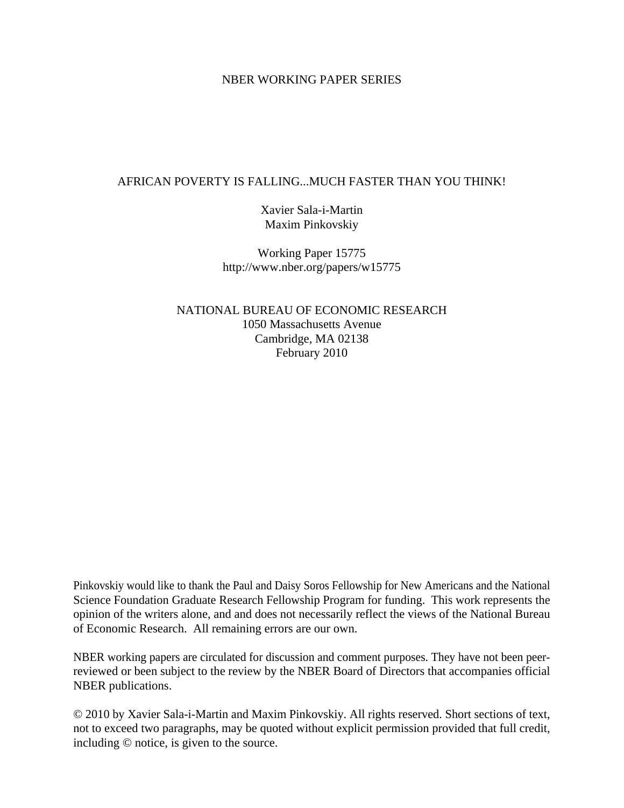#### NBER WORKING PAPER SERIES

#### AFRICAN POVERTY IS FALLING...MUCH FASTER THAN YOU THINK!

Xavier Sala-i-Martin Maxim Pinkovskiy

Working Paper 15775 http://www.nber.org/papers/w15775

NATIONAL BUREAU OF ECONOMIC RESEARCH 1050 Massachusetts Avenue Cambridge, MA 02138 February 2010

Pinkovskiy would like to thank the Paul and Daisy Soros Fellowship for New Americans and the National Science Foundation Graduate Research Fellowship Program for funding. This work represents the opinion of the writers alone, and and does not necessarily reflect the views of the National Bureau of Economic Research. All remaining errors are our own.

NBER working papers are circulated for discussion and comment purposes. They have not been peerreviewed or been subject to the review by the NBER Board of Directors that accompanies official NBER publications.

© 2010 by Xavier Sala-i-Martin and Maxim Pinkovskiy. All rights reserved. Short sections of text, not to exceed two paragraphs, may be quoted without explicit permission provided that full credit, including © notice, is given to the source.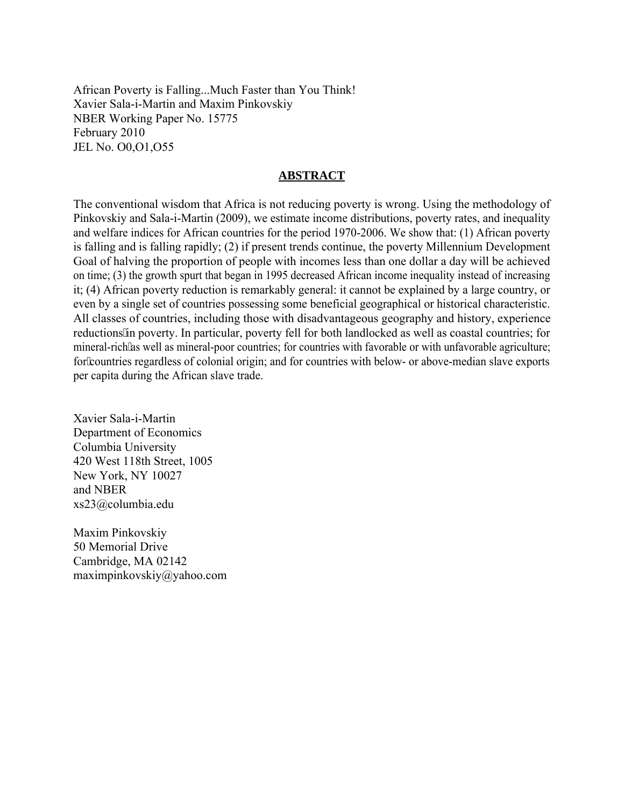African Poverty is Falling...Much Faster than You Think! Xavier Sala-i-Martin and Maxim Pinkovskiy NBER Working Paper No. 15775 February 2010 JEL No. O0,O1,O55

#### **ABSTRACT**

The conventional wisdom that Africa is not reducing poverty is wrong. Using the methodology of Pinkovskiy and Sala-i-Martin (2009), we estimate income distributions, poverty rates, and inequality and welfare indices for African countries for the period 1970-2006. We show that: (1) African poverty is falling and is falling rapidly; (2) if present trends continue, the poverty Millennium Development Goal of halving the proportion of people with incomes less than one dollar a day will be achieved on time; (3) the growth spurt that began in 1995 decreased African income inequality instead of increasing it; (4) African poverty reduction is remarkably general: it cannot be explained by a large country, or even by a single set of countries possessing some beneficial geographical or historical characteristic. All classes of countries, including those with disadvantageous geography and history, experience reductions" in poverty. In particular, poverty fell for both landlocked as well as coastal countries; for mineral-rich as well as mineral-poor countries; for countries with favorable or with unfavorable agriculture; for countries regardless of colonial origin; and for countries with below- or above-median slave exports per capita during the African slave trade.

Xavier Sala-i-Martin Department of Economics Columbia University 420 West 118th Street, 1005 New York, NY 10027 and NBER xs23@columbia.edu

Maxim Pinkovskiy 50 Memorial Drive Cambridge, MA 02142 maximpinkovskiy@yahoo.com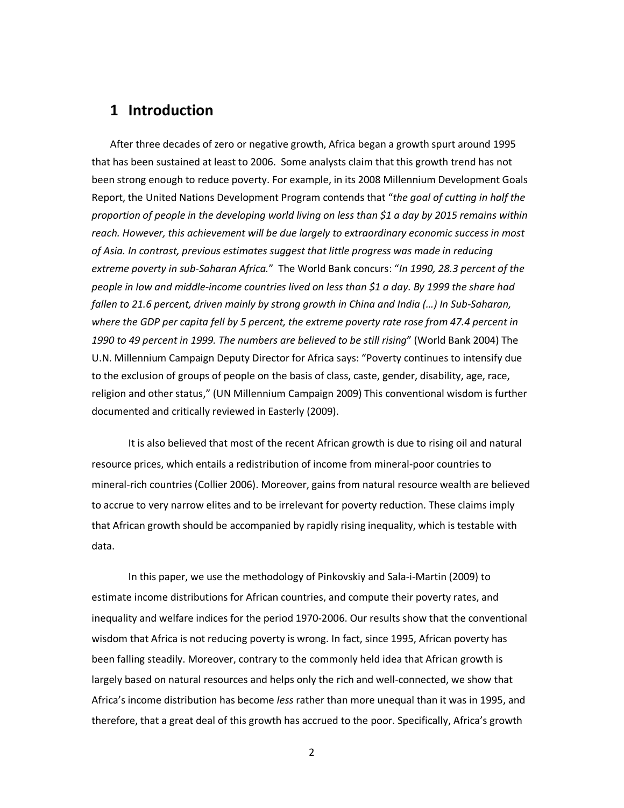#### **1 Introduction**

After three decades of zero or negative growth, Africa began a growth spurt around 1995 that has been sustained at least to 2006. Some analysts claim that this growth trend has not been strong enough to reduce poverty. For example, in its 2008 Millennium Development Goals Report, the United Nations Development Program contends that "*the goal of cutting in half the proportion of people in the developing world living on less than \$1 a day by 2015 remains within reach. However, this achievement will be due largely to extraordinary economic success in most of Asia. In contrast, previous estimates suggest that little progress was made in reducing extreme poverty in sub-Saharan Africa.*" The World Bank concurs: "*In 1990, 28.3 percent of the people in low and middle-income countries lived on less than \$1 a day. By 1999 the share had fallen to 21.6 percent, driven mainly by strong growth in China and India (…) In Sub-Saharan, where the GDP per capita fell by 5 percent, the extreme poverty rate rose from 47.4 percent in 1990 to 49 percent in 1999. The numbers are believed to be still rising*" (World Bank 2004) The U.N. Millennium Campaign Deputy Director for Africa says: "Poverty continues to intensify due to the exclusion of groups of people on the basis of class, caste, gender, disability, age, race, religion and other status," (UN Millennium Campaign 2009) This conventional wisdom is further documented and critically reviewed in Easterly (2009).

It is also believed that most of the recent African growth is due to rising oil and natural resource prices, which entails a redistribution of income from mineral-poor countries to mineral-rich countries (Collier 2006). Moreover, gains from natural resource wealth are believed to accrue to very narrow elites and to be irrelevant for poverty reduction. These claims imply that African growth should be accompanied by rapidly rising inequality, which is testable with data.

In this paper, we use the methodology of Pinkovskiy and Sala-i-Martin (2009) to estimate income distributions for African countries, and compute their poverty rates, and inequality and welfare indices for the period 1970-2006. Our results show that the conventional wisdom that Africa is not reducing poverty is wrong. In fact, since 1995, African poverty has been falling steadily. Moreover, contrary to the commonly held idea that African growth is largely based on natural resources and helps only the rich and well-connected, we show that Africa's income distribution has become *less* rather than more unequal than it was in 1995, and therefore, that a great deal of this growth has accrued to the poor. Specifically, Africa's growth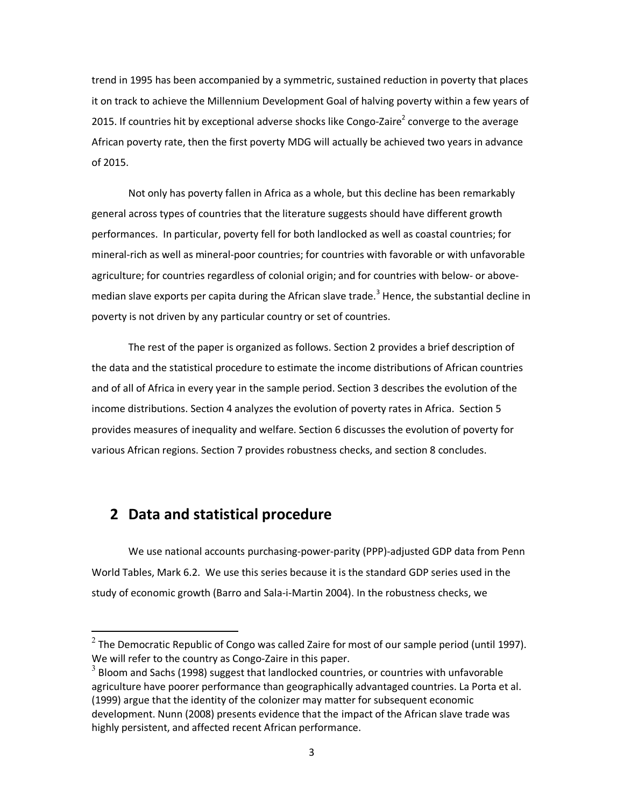trend in 1995 has been accompanied by a symmetric, sustained reduction in poverty that places it on track to achieve the Millennium Development Goal of halving poverty within a few years of 2015. If countries hit by exceptional adverse shocks like Congo-Zaire<sup>2</sup> converge to the average African poverty rate, then the first poverty MDG will actually be achieved two years in advance of 2015.

Not only has poverty fallen in Africa as a whole, but this decline has been remarkably general across types of countries that the literature suggests should have different growth performances. In particular, poverty fell for both landlocked as well as coastal countries; for mineral-rich as well as mineral-poor countries; for countries with favorable or with unfavorable agriculture; for countries regardless of colonial origin; and for countries with below- or abovemedian slave exports per capita during the African slave trade.<sup>3</sup> Hence, the substantial decline in poverty is not driven by any particular country or set of countries.

 The rest of the paper is organized as follows. Section 2 provides a brief description of the data and the statistical procedure to estimate the income distributions of African countries and of all of Africa in every year in the sample period. Section 3 describes the evolution of the income distributions. Section 4 analyzes the evolution of poverty rates in Africa. Section 5 provides measures of inequality and welfare. Section 6 discusses the evolution of poverty for various African regions. Section 7 provides robustness checks, and section 8 concludes.

### **2 Data and statistical procedure**

 $\overline{a}$ 

We use national accounts purchasing-power-parity (PPP)-adjusted GDP data from Penn World Tables, Mark 6.2. We use this series because it is the standard GDP series used in the study of economic growth (Barro and Sala-i-Martin 2004). In the robustness checks, we

 $^2$  The Democratic Republic of Congo was called Zaire for most of our sample period (until 1997). We will refer to the country as Congo-Zaire in this paper.

 $^3$  Bloom and Sachs (1998) suggest that landlocked countries, or countries with unfavorable agriculture have poorer performance than geographically advantaged countries. La Porta et al. (1999) argue that the identity of the colonizer may matter for subsequent economic development. Nunn (2008) presents evidence that the impact of the African slave trade was highly persistent, and affected recent African performance.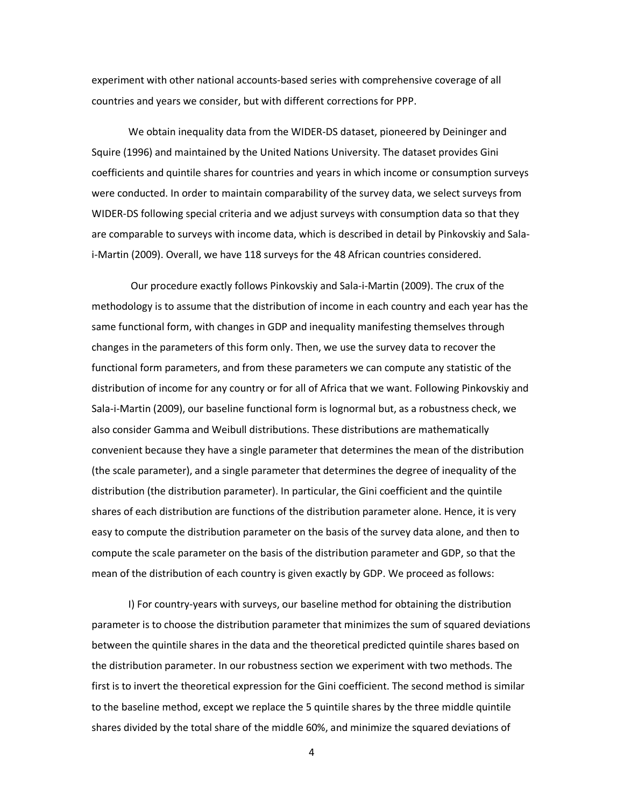experiment with other national accounts-based series with comprehensive coverage of all countries and years we consider, but with different corrections for PPP.

We obtain inequality data from the WIDER-DS dataset, pioneered by Deininger and Squire (1996) and maintained by the United Nations University. The dataset provides Gini coefficients and quintile shares for countries and years in which income or consumption surveys were conducted. In order to maintain comparability of the survey data, we select surveys from WIDER-DS following special criteria and we adjust surveys with consumption data so that they are comparable to surveys with income data, which is described in detail by Pinkovskiy and Salai-Martin (2009). Overall, we have 118 surveys for the 48 African countries considered.

 Our procedure exactly follows Pinkovskiy and Sala-i-Martin (2009). The crux of the methodology is to assume that the distribution of income in each country and each year has the same functional form, with changes in GDP and inequality manifesting themselves through changes in the parameters of this form only. Then, we use the survey data to recover the functional form parameters, and from these parameters we can compute any statistic of the distribution of income for any country or for all of Africa that we want. Following Pinkovskiy and Sala-i-Martin (2009), our baseline functional form is lognormal but, as a robustness check, we also consider Gamma and Weibull distributions. These distributions are mathematically convenient because they have a single parameter that determines the mean of the distribution (the scale parameter), and a single parameter that determines the degree of inequality of the distribution (the distribution parameter). In particular, the Gini coefficient and the quintile shares of each distribution are functions of the distribution parameter alone. Hence, it is very easy to compute the distribution parameter on the basis of the survey data alone, and then to compute the scale parameter on the basis of the distribution parameter and GDP, so that the mean of the distribution of each country is given exactly by GDP. We proceed as follows:

I) For country-years with surveys, our baseline method for obtaining the distribution parameter is to choose the distribution parameter that minimizes the sum of squared deviations between the quintile shares in the data and the theoretical predicted quintile shares based on the distribution parameter. In our robustness section we experiment with two methods. The first is to invert the theoretical expression for the Gini coefficient. The second method is similar to the baseline method, except we replace the 5 quintile shares by the three middle quintile shares divided by the total share of the middle 60%, and minimize the squared deviations of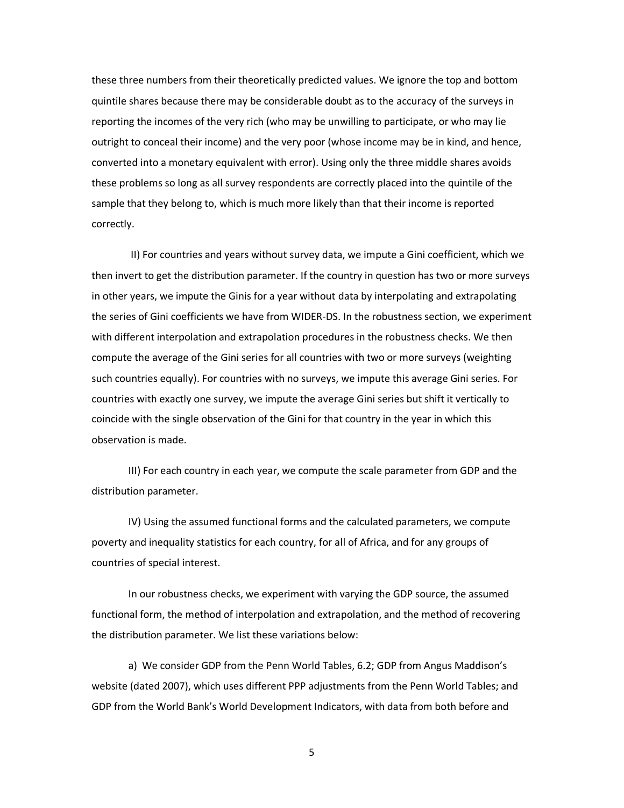these three numbers from their theoretically predicted values. We ignore the top and bottom quintile shares because there may be considerable doubt as to the accuracy of the surveys in reporting the incomes of the very rich (who may be unwilling to participate, or who may lie outright to conceal their income) and the very poor (whose income may be in kind, and hence, converted into a monetary equivalent with error). Using only the three middle shares avoids these problems so long as all survey respondents are correctly placed into the quintile of the sample that they belong to, which is much more likely than that their income is reported correctly.

 II) For countries and years without survey data, we impute a Gini coefficient, which we then invert to get the distribution parameter. If the country in question has two or more surveys in other years, we impute the Ginis for a year without data by interpolating and extrapolating the series of Gini coefficients we have from WIDER-DS. In the robustness section, we experiment with different interpolation and extrapolation procedures in the robustness checks. We then compute the average of the Gini series for all countries with two or more surveys (weighting such countries equally). For countries with no surveys, we impute this average Gini series. For countries with exactly one survey, we impute the average Gini series but shift it vertically to coincide with the single observation of the Gini for that country in the year in which this observation is made.

III) For each country in each year, we compute the scale parameter from GDP and the distribution parameter.

IV) Using the assumed functional forms and the calculated parameters, we compute poverty and inequality statistics for each country, for all of Africa, and for any groups of countries of special interest.

In our robustness checks, we experiment with varying the GDP source, the assumed functional form, the method of interpolation and extrapolation, and the method of recovering the distribution parameter. We list these variations below:

a) We consider GDP from the Penn World Tables, 6.2; GDP from Angus Maddison's website (dated 2007), which uses different PPP adjustments from the Penn World Tables; and GDP from the World Bank's World Development Indicators, with data from both before and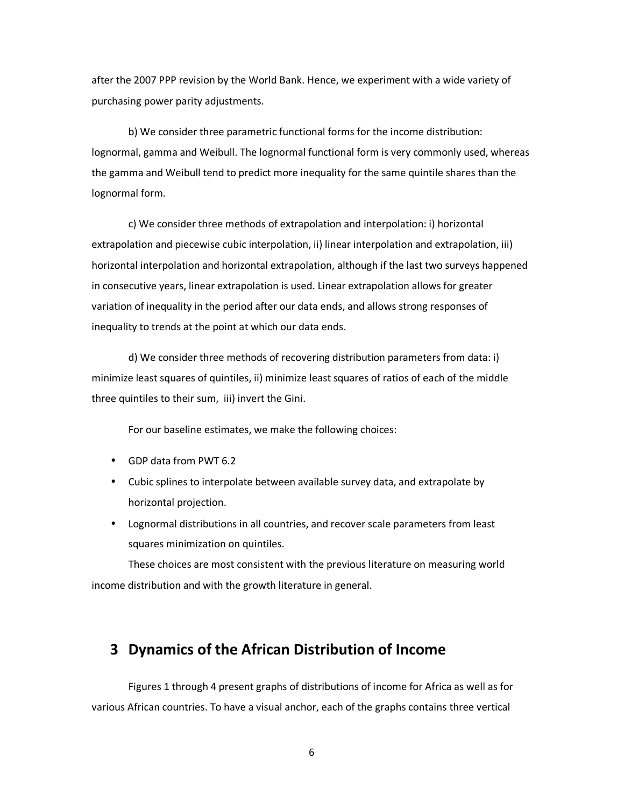after the 2007 PPP revision by the World Bank. Hence, we experiment with a wide variety of purchasing power parity adjustments.

b) We consider three parametric functional forms for the income distribution: lognormal, gamma and Weibull. The lognormal functional form is very commonly used, whereas the gamma and Weibull tend to predict more inequality for the same quintile shares than the lognormal form.

c) We consider three methods of extrapolation and interpolation: i) horizontal extrapolation and piecewise cubic interpolation, ii) linear interpolation and extrapolation, iii) horizontal interpolation and horizontal extrapolation, although if the last two surveys happened in consecutive years, linear extrapolation is used. Linear extrapolation allows for greater variation of inequality in the period after our data ends, and allows strong responses of inequality to trends at the point at which our data ends.

d) We consider three methods of recovering distribution parameters from data: i) minimize least squares of quintiles, ii) minimize least squares of ratios of each of the middle three quintiles to their sum, iii) invert the Gini.

For our baseline estimates, we make the following choices:

- GDP data from PWT 6.2
- Cubic splines to interpolate between available survey data, and extrapolate by horizontal projection.
- Lognormal distributions in all countries, and recover scale parameters from least squares minimization on quintiles.

These choices are most consistent with the previous literature on measuring world income distribution and with the growth literature in general.

### **3 Dynamics of the African Distribution of Income**

Figures 1 through 4 present graphs of distributions of income for Africa as well as for various African countries. To have a visual anchor, each of the graphs contains three vertical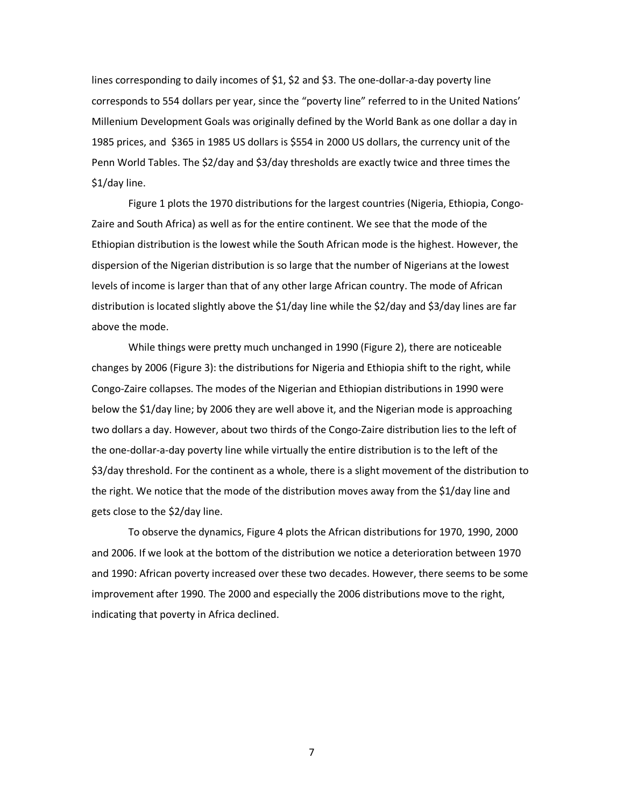lines corresponding to daily incomes of \$1, \$2 and \$3. The one-dollar-a-day poverty line corresponds to 554 dollars per year, since the "poverty line" referred to in the United Nations' Millenium Development Goals was originally defined by the World Bank as one dollar a day in 1985 prices, and \$365 in 1985 US dollars is \$554 in 2000 US dollars, the currency unit of the Penn World Tables. The \$2/day and \$3/day thresholds are exactly twice and three times the \$1/day line.

Figure 1 plots the 1970 distributions for the largest countries (Nigeria, Ethiopia, Congo-Zaire and South Africa) as well as for the entire continent. We see that the mode of the Ethiopian distribution is the lowest while the South African mode is the highest. However, the dispersion of the Nigerian distribution is so large that the number of Nigerians at the lowest levels of income is larger than that of any other large African country. The mode of African distribution is located slightly above the \$1/day line while the \$2/day and \$3/day lines are far above the mode.

While things were pretty much unchanged in 1990 (Figure 2), there are noticeable changes by 2006 (Figure 3): the distributions for Nigeria and Ethiopia shift to the right, while Congo-Zaire collapses. The modes of the Nigerian and Ethiopian distributions in 1990 were below the \$1/day line; by 2006 they are well above it, and the Nigerian mode is approaching two dollars a day. However, about two thirds of the Congo-Zaire distribution lies to the left of the one-dollar-a-day poverty line while virtually the entire distribution is to the left of the \$3/day threshold. For the continent as a whole, there is a slight movement of the distribution to the right. We notice that the mode of the distribution moves away from the \$1/day line and gets close to the \$2/day line.

To observe the dynamics, Figure 4 plots the African distributions for 1970, 1990, 2000 and 2006. If we look at the bottom of the distribution we notice a deterioration between 1970 and 1990: African poverty increased over these two decades. However, there seems to be some improvement after 1990. The 2000 and especially the 2006 distributions move to the right, indicating that poverty in Africa declined.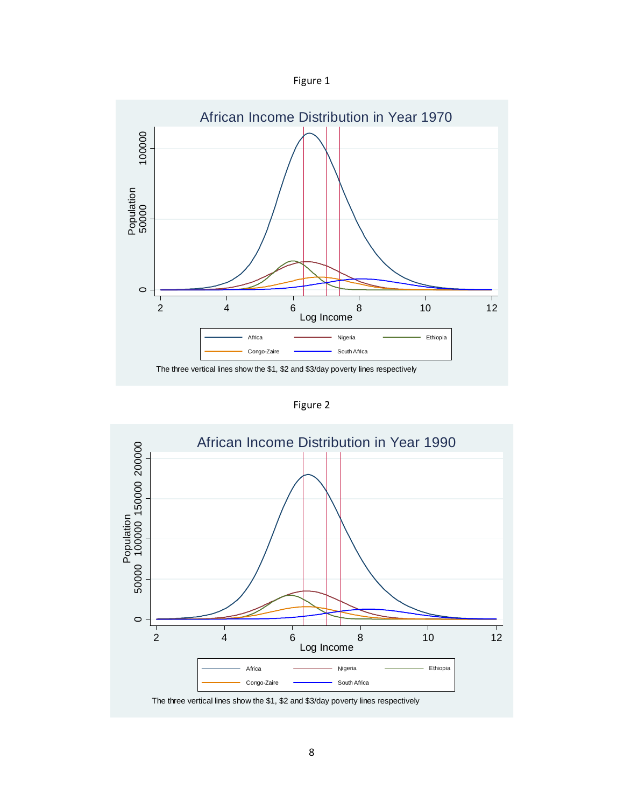



Figure 2

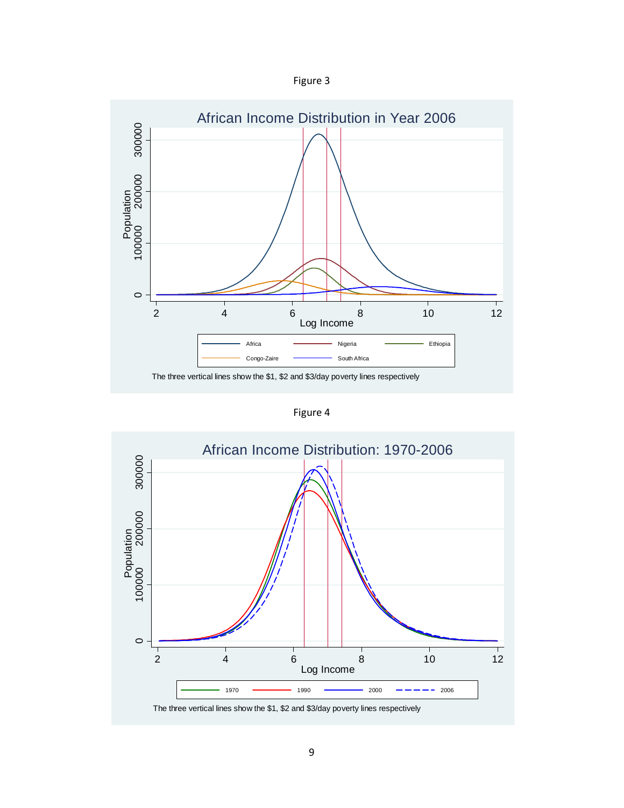



Figure 4

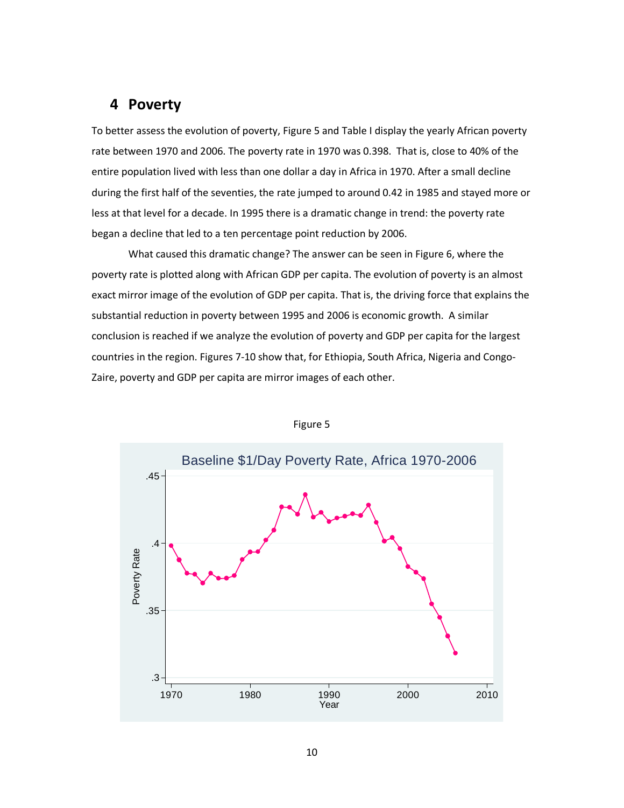### **4 Poverty**

To better assess the evolution of poverty, Figure 5 and Table I display the yearly African poverty rate between 1970 and 2006. The poverty rate in 1970 was 0.398. That is, close to 40% of the entire population lived with less than one dollar a day in Africa in 1970. After a small decline during the first half of the seventies, the rate jumped to around 0.42 in 1985 and stayed more or less at that level for a decade. In 1995 there is a dramatic change in trend: the poverty rate began a decline that led to a ten percentage point reduction by 2006.

What caused this dramatic change? The answer can be seen in Figure 6, where the poverty rate is plotted along with African GDP per capita. The evolution of poverty is an almost exact mirror image of the evolution of GDP per capita. That is, the driving force that explains the substantial reduction in poverty between 1995 and 2006 is economic growth. A similar conclusion is reached if we analyze the evolution of poverty and GDP per capita for the largest countries in the region. Figures 7-10 show that, for Ethiopia, South Africa, Nigeria and Congo-Zaire, poverty and GDP per capita are mirror images of each other.



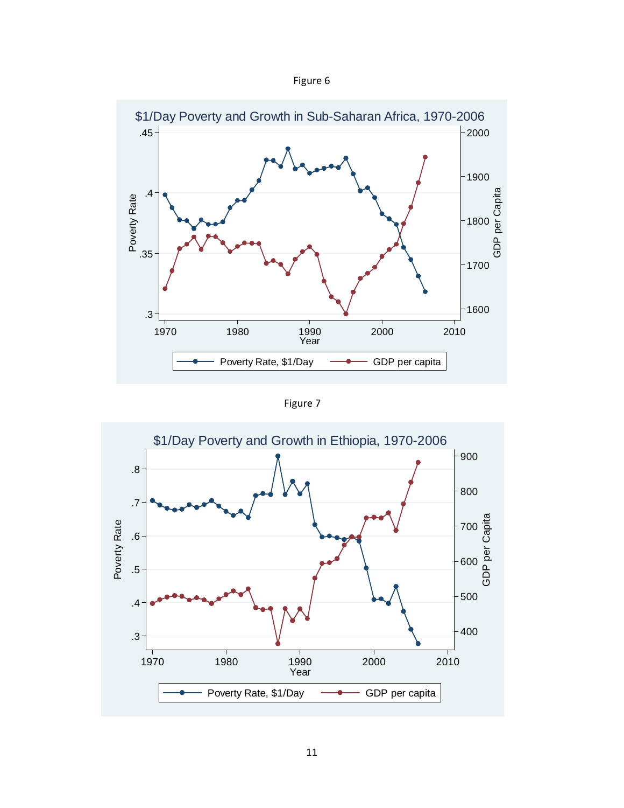| igure |  |
|-------|--|
|-------|--|



Figure 7

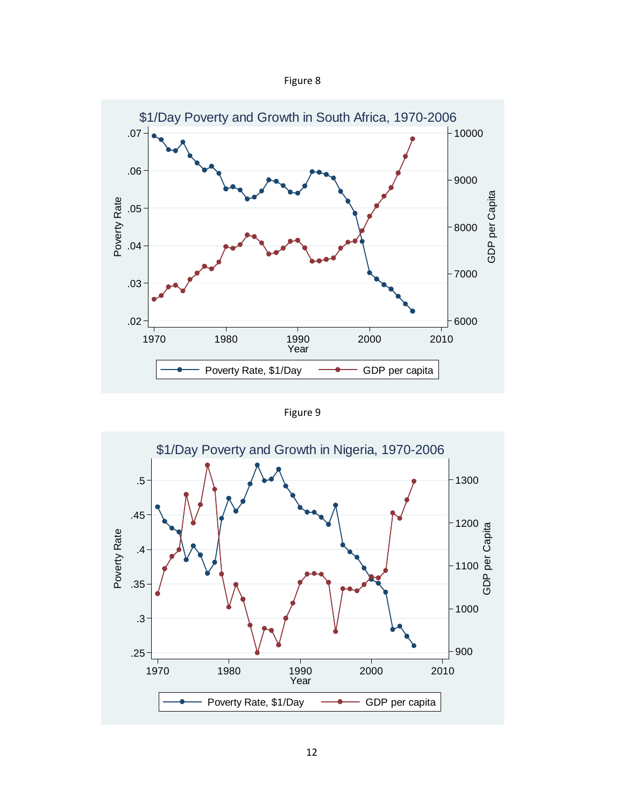



Figure 9

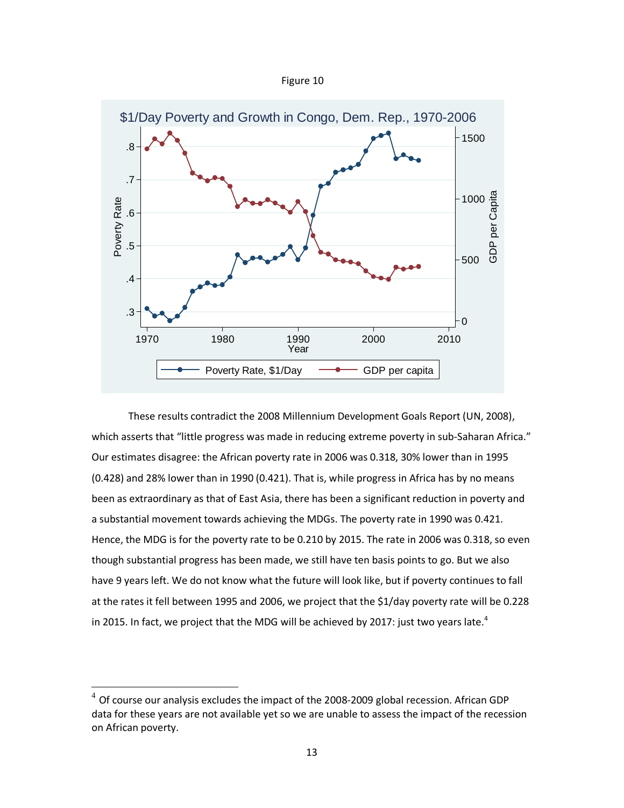



These results contradict the 2008 Millennium Development Goals Report (UN, 2008), which asserts that "little progress was made in reducing extreme poverty in sub-Saharan Africa." Our estimates disagree: the African poverty rate in 2006 was 0.318, 30% lower than in 1995 (0.428) and 28% lower than in 1990 (0.421). That is, while progress in Africa has by no means been as extraordinary as that of East Asia, there has been a significant reduction in poverty and a substantial movement towards achieving the MDGs. The poverty rate in 1990 was 0.421. Hence, the MDG is for the poverty rate to be 0.210 by 2015. The rate in 2006 was 0.318, so even though substantial progress has been made, we still have ten basis points to go. But we also have 9 years left. We do not know what the future will look like, but if poverty continues to fall at the rates it fell between 1995 and 2006, we project that the \$1/day poverty rate will be 0.228 in 2015. In fact, we project that the MDG will be achieved by 2017: just two years late.<sup>4</sup>

l

 $^4$  Of course our analysis excludes the impact of the 2008-2009 global recession. African GDP data for these years are not available yet so we are unable to assess the impact of the recession on African poverty.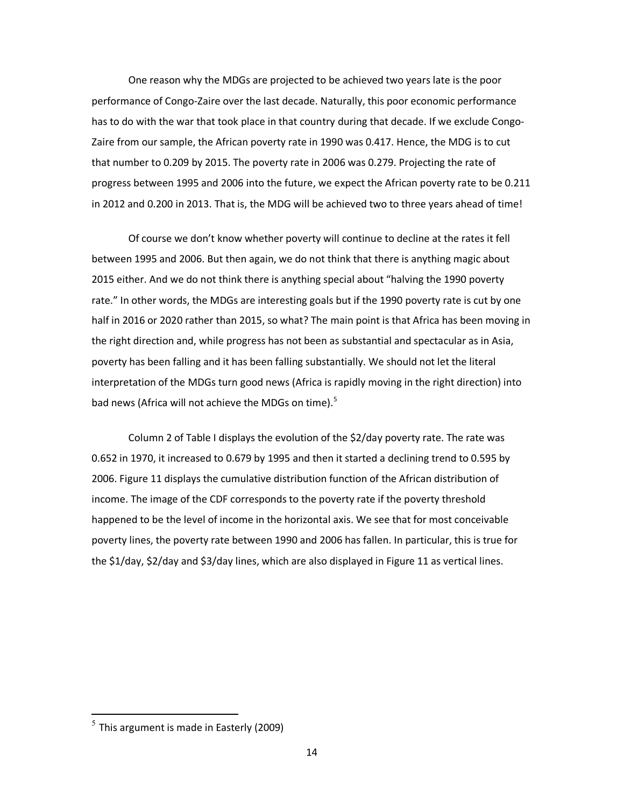One reason why the MDGs are projected to be achieved two years late is the poor performance of Congo-Zaire over the last decade. Naturally, this poor economic performance has to do with the war that took place in that country during that decade. If we exclude Congo-Zaire from our sample, the African poverty rate in 1990 was 0.417. Hence, the MDG is to cut that number to 0.209 by 2015. The poverty rate in 2006 was 0.279. Projecting the rate of progress between 1995 and 2006 into the future, we expect the African poverty rate to be 0.211 in 2012 and 0.200 in 2013. That is, the MDG will be achieved two to three years ahead of time!

Of course we don't know whether poverty will continue to decline at the rates it fell between 1995 and 2006. But then again, we do not think that there is anything magic about 2015 either. And we do not think there is anything special about "halving the 1990 poverty rate." In other words, the MDGs are interesting goals but if the 1990 poverty rate is cut by one half in 2016 or 2020 rather than 2015, so what? The main point is that Africa has been moving in the right direction and, while progress has not been as substantial and spectacular as in Asia, poverty has been falling and it has been falling substantially. We should not let the literal interpretation of the MDGs turn good news (Africa is rapidly moving in the right direction) into bad news (Africa will not achieve the MDGs on time).<sup>5</sup>

Column 2 of Table I displays the evolution of the \$2/day poverty rate. The rate was 0.652 in 1970, it increased to 0.679 by 1995 and then it started a declining trend to 0.595 by 2006. Figure 11 displays the cumulative distribution function of the African distribution of income. The image of the CDF corresponds to the poverty rate if the poverty threshold happened to be the level of income in the horizontal axis. We see that for most conceivable poverty lines, the poverty rate between 1990 and 2006 has fallen. In particular, this is true for the \$1/day, \$2/day and \$3/day lines, which are also displayed in Figure 11 as vertical lines.

 $\overline{a}$ 

 $^5$  This argument is made in Easterly (2009)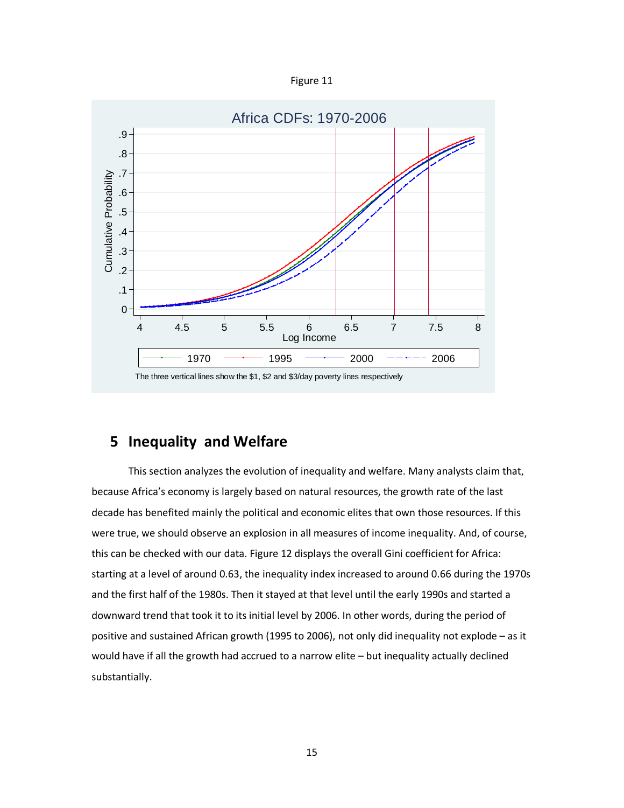



## **5 Inequality and Welfare**

This section analyzes the evolution of inequality and welfare. Many analysts claim that, because Africa's economy is largely based on natural resources, the growth rate of the last decade has benefited mainly the political and economic elites that own those resources. If this were true, we should observe an explosion in all measures of income inequality. And, of course, this can be checked with our data. Figure 12 displays the overall Gini coefficient for Africa: starting at a level of around 0.63, the inequality index increased to around 0.66 during the 1970s and the first half of the 1980s. Then it stayed at that level until the early 1990s and started a downward trend that took it to its initial level by 2006. In other words, during the period of positive and sustained African growth (1995 to 2006), not only did inequality not explode – as it would have if all the growth had accrued to a narrow elite – but inequality actually declined substantially.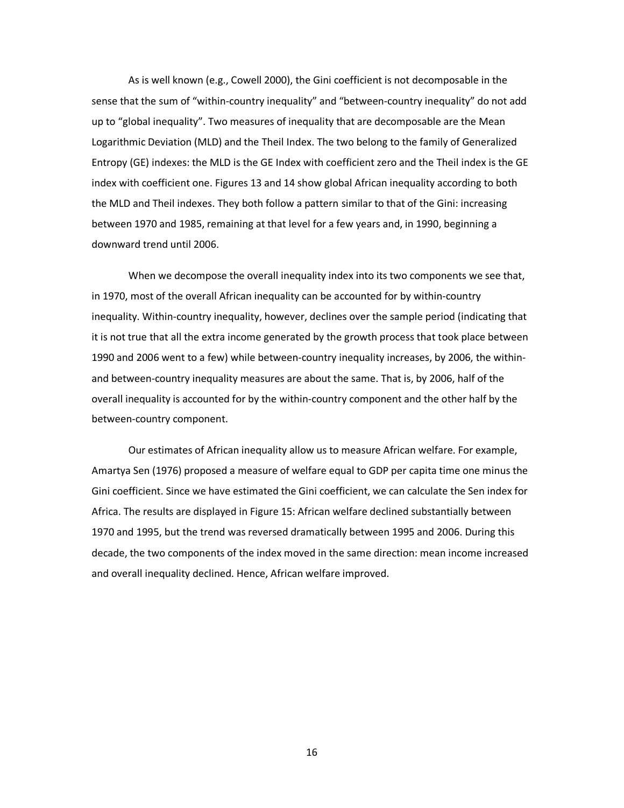As is well known (e.g., Cowell 2000), the Gini coefficient is not decomposable in the sense that the sum of "within-country inequality" and "between-country inequality" do not add up to "global inequality". Two measures of inequality that are decomposable are the Mean Logarithmic Deviation (MLD) and the Theil Index. The two belong to the family of Generalized Entropy (GE) indexes: the MLD is the GE Index with coefficient zero and the Theil index is the GE index with coefficient one. Figures 13 and 14 show global African inequality according to both the MLD and Theil indexes. They both follow a pattern similar to that of the Gini: increasing between 1970 and 1985, remaining at that level for a few years and, in 1990, beginning a downward trend until 2006.

When we decompose the overall inequality index into its two components we see that, in 1970, most of the overall African inequality can be accounted for by within-country inequality. Within-country inequality, however, declines over the sample period (indicating that it is not true that all the extra income generated by the growth process that took place between 1990 and 2006 went to a few) while between-country inequality increases, by 2006, the withinand between-country inequality measures are about the same. That is, by 2006, half of the overall inequality is accounted for by the within-country component and the other half by the between-country component.

Our estimates of African inequality allow us to measure African welfare. For example, Amartya Sen (1976) proposed a measure of welfare equal to GDP per capita time one minus the Gini coefficient. Since we have estimated the Gini coefficient, we can calculate the Sen index for Africa. The results are displayed in Figure 15: African welfare declined substantially between 1970 and 1995, but the trend was reversed dramatically between 1995 and 2006. During this decade, the two components of the index moved in the same direction: mean income increased and overall inequality declined. Hence, African welfare improved.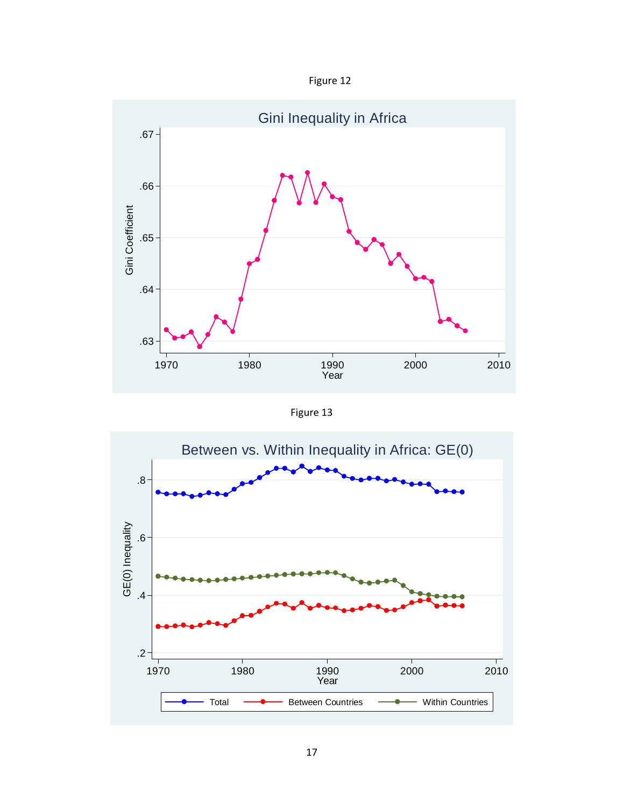



Figure 13

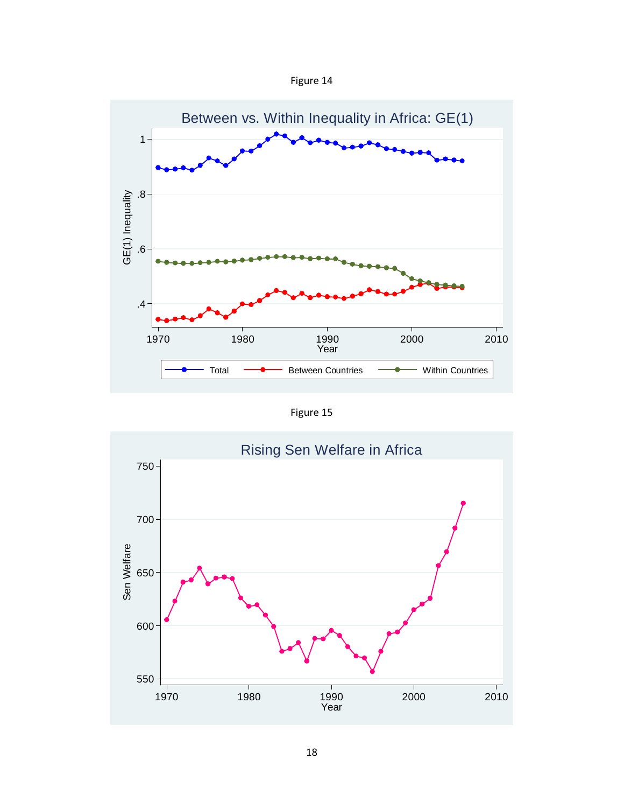



Figure 15

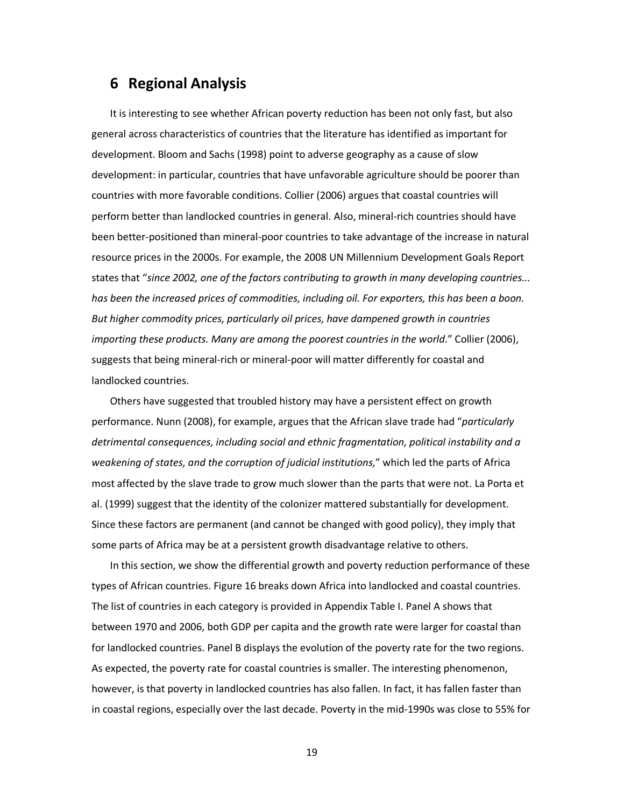## **6 Regional Analysis**

It is interesting to see whether African poverty reduction has been not only fast, but also general across characteristics of countries that the literature has identified as important for development. Bloom and Sachs (1998) point to adverse geography as a cause of slow development: in particular, countries that have unfavorable agriculture should be poorer than countries with more favorable conditions. Collier (2006) argues that coastal countries will perform better than landlocked countries in general. Also, mineral-rich countries should have been better-positioned than mineral-poor countries to take advantage of the increase in natural resource prices in the 2000s. For example, the 2008 UN Millennium Development Goals Report states that "*since 2002, one of the factors contributing to growth in many developing countries... has been the increased prices of commodities, including oil. For exporters, this has been a boon. But higher commodity prices, particularly oil prices, have dampened growth in countries importing these products. Many are among the poorest countries in the world*." Collier (2006), suggests that being mineral-rich or mineral-poor will matter differently for coastal and landlocked countries.

Others have suggested that troubled history may have a persistent effect on growth performance. Nunn (2008), for example, argues that the African slave trade had "*particularly detrimental consequences, including social and ethnic fragmentation, political instability and a weakening of states, and the corruption of judicial institutions,*" which led the parts of Africa most affected by the slave trade to grow much slower than the parts that were not. La Porta et al. (1999) suggest that the identity of the colonizer mattered substantially for development. Since these factors are permanent (and cannot be changed with good policy), they imply that some parts of Africa may be at a persistent growth disadvantage relative to others.

In this section, we show the differential growth and poverty reduction performance of these types of African countries. Figure 16 breaks down Africa into landlocked and coastal countries. The list of countries in each category is provided in Appendix Table I. Panel A shows that between 1970 and 2006, both GDP per capita and the growth rate were larger for coastal than for landlocked countries. Panel B displays the evolution of the poverty rate for the two regions. As expected, the poverty rate for coastal countries is smaller. The interesting phenomenon, however, is that poverty in landlocked countries has also fallen. In fact, it has fallen faster than in coastal regions, especially over the last decade. Poverty in the mid-1990s was close to 55% for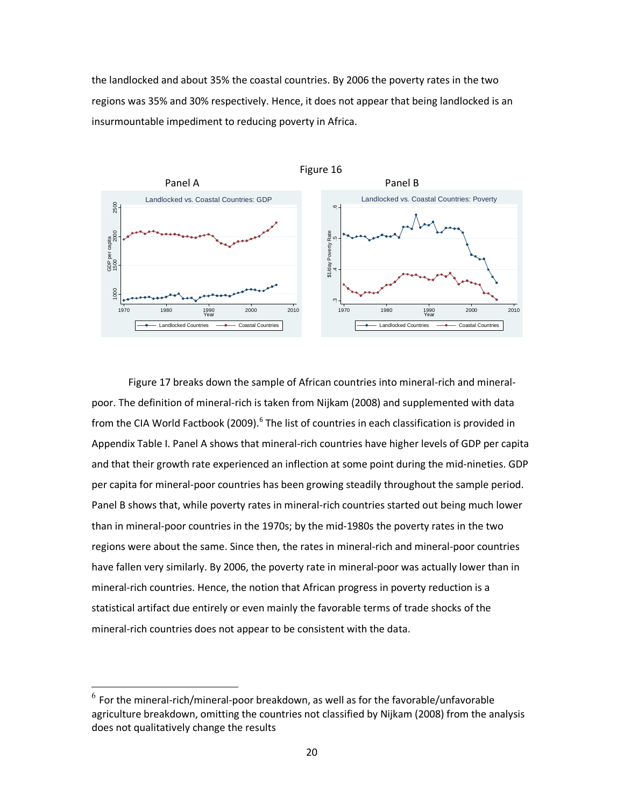the landlocked and about 35% the coastal countries. By 2006 the poverty rates in the two regions was 35% and 30% respectively. Hence, it does not appear that being landlocked is an insurmountable impediment to reducing poverty in Africa.



Figure 17 breaks down the sample of African countries into mineral-rich and mineralpoor. The definition of mineral-rich is taken from Nijkam (2008) and supplemented with data from the CIA World Factbook (2009).<sup>6</sup> The list of countries in each classification is provided in Appendix Table I. Panel A shows that mineral-rich countries have higher levels of GDP per capita and that their growth rate experienced an inflection at some point during the mid-nineties. GDP per capita for mineral-poor countries has been growing steadily throughout the sample period. Panel B shows that, while poverty rates in mineral-rich countries started out being much lower than in mineral-poor countries in the 1970s; by the mid-1980s the poverty rates in the two regions were about the same. Since then, the rates in mineral-rich and mineral-poor countries have fallen very similarly. By 2006, the poverty rate in mineral-poor was actually lower than in mineral-rich countries. Hence, the notion that African progress in poverty reduction is a statistical artifact due entirely or even mainly the favorable terms of trade shocks of the mineral-rich countries does not appear to be consistent with the data.

l

 $^6$  For the mineral-rich/mineral-poor breakdown, as well as for the favorable/unfavorable agriculture breakdown, omitting the countries not classified by Nijkam (2008) from the analysis does not qualitatively change the results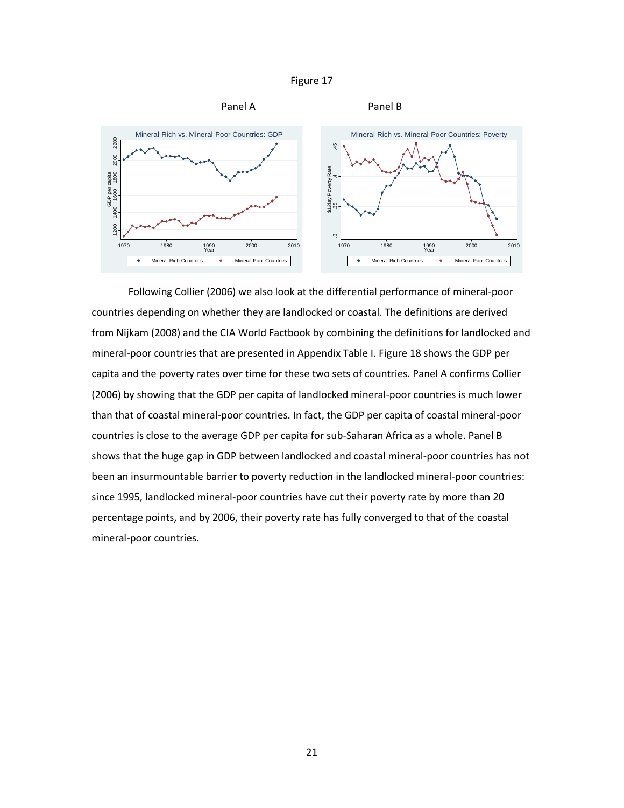



Following Collier (2006) we also look at the differential performance of mineral-poor countries depending on whether they are landlocked or coastal. The definitions are derived from Nijkam (2008) and the CIA World Factbook by combining the definitions for landlocked and mineral-poor countries that are presented in Appendix Table I. Figure 18 shows the GDP per capita and the poverty rates over time for these two sets of countries. Panel A confirms Collier (2006) by showing that the GDP per capita of landlocked mineral-poor countries is much lower than that of coastal mineral-poor countries. In fact, the GDP per capita of coastal mineral-poor countries is close to the average GDP per capita for sub-Saharan Africa as a whole. Panel B shows that the huge gap in GDP between landlocked and coastal mineral-poor countries has not been an insurmountable barrier to poverty reduction in the landlocked mineral-poor countries: since 1995, landlocked mineral-poor countries have cut their poverty rate by more than 20 percentage points, and by 2006, their poverty rate has fully converged to that of the coastal mineral-poor countries.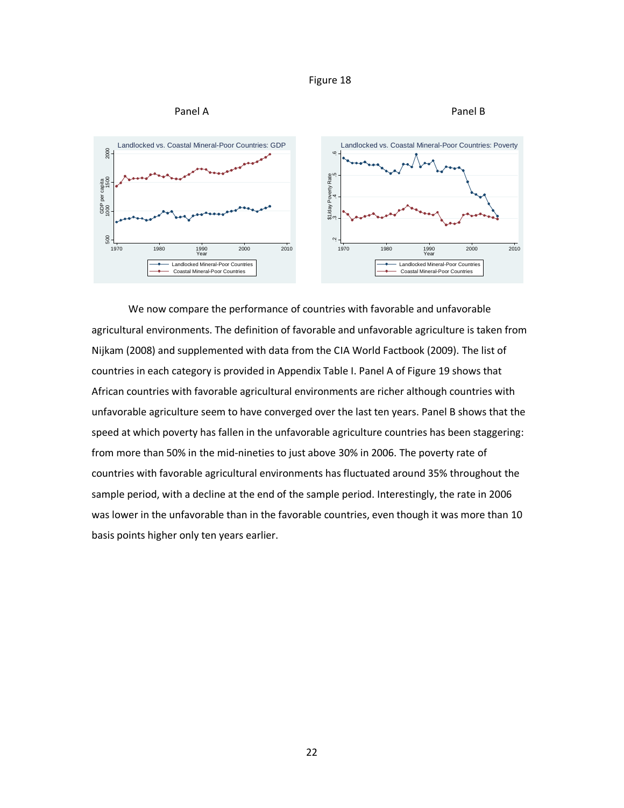



We now compare the performance of countries with favorable and unfavorable agricultural environments. The definition of favorable and unfavorable agriculture is taken from Nijkam (2008) and supplemented with data from the CIA World Factbook (2009). The list of countries in each category is provided in Appendix Table I. Panel A of Figure 19 shows that African countries with favorable agricultural environments are richer although countries with unfavorable agriculture seem to have converged over the last ten years. Panel B shows that the speed at which poverty has fallen in the unfavorable agriculture countries has been staggering: from more than 50% in the mid-nineties to just above 30% in 2006. The poverty rate of countries with favorable agricultural environments has fluctuated around 35% throughout the sample period, with a decline at the end of the sample period. Interestingly, the rate in 2006 was lower in the unfavorable than in the favorable countries, even though it was more than 10 basis points higher only ten years earlier.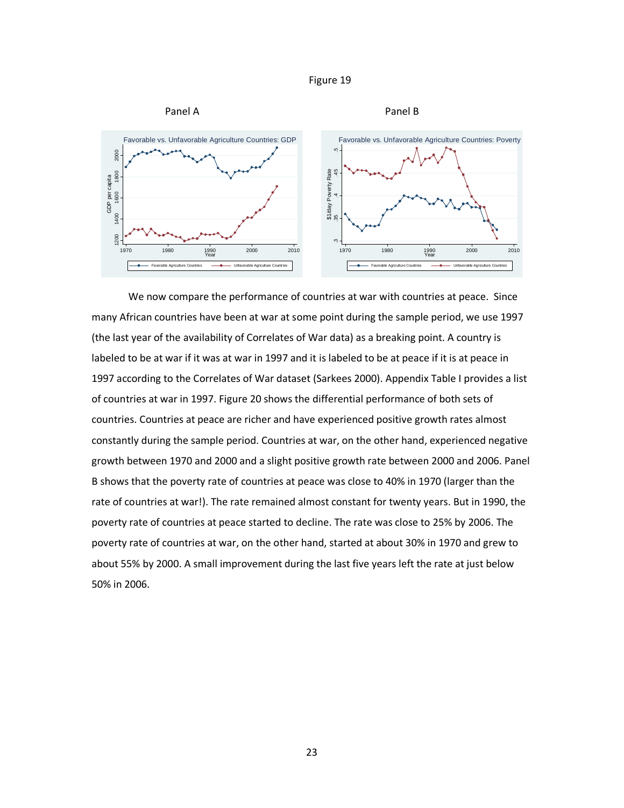



We now compare the performance of countries at war with countries at peace. Since many African countries have been at war at some point during the sample period, we use 1997 (the last year of the availability of Correlates of War data) as a breaking point. A country is labeled to be at war if it was at war in 1997 and it is labeled to be at peace if it is at peace in 1997 according to the Correlates of War dataset (Sarkees 2000). Appendix Table I provides a list of countries at war in 1997. Figure 20 shows the differential performance of both sets of countries. Countries at peace are richer and have experienced positive growth rates almost constantly during the sample period. Countries at war, on the other hand, experienced negative growth between 1970 and 2000 and a slight positive growth rate between 2000 and 2006. Panel B shows that the poverty rate of countries at peace was close to 40% in 1970 (larger than the rate of countries at war!). The rate remained almost constant for twenty years. But in 1990, the poverty rate of countries at peace started to decline. The rate was close to 25% by 2006. The poverty rate of countries at war, on the other hand, started at about 30% in 1970 and grew to about 55% by 2000. A small improvement during the last five years left the rate at just below 50% in 2006.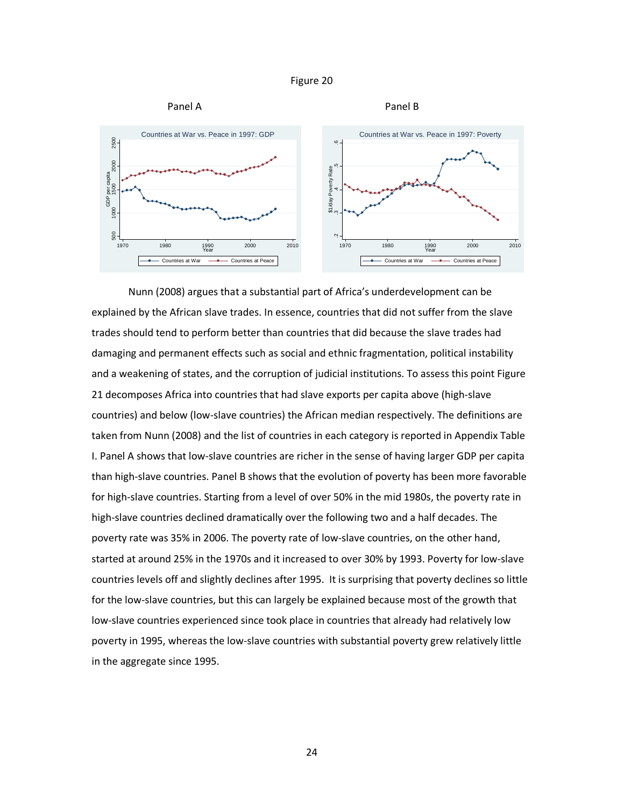



Nunn (2008) argues that a substantial part of Africa's underdevelopment can be explained by the African slave trades. In essence, countries that did not suffer from the slave trades should tend to perform better than countries that did because the slave trades had damaging and permanent effects such as social and ethnic fragmentation, political instability and a weakening of states, and the corruption of judicial institutions. To assess this point Figure 21 decomposes Africa into countries that had slave exports per capita above (high-slave countries) and below (low-slave countries) the African median respectively. The definitions are taken from Nunn (2008) and the list of countries in each category is reported in Appendix Table I. Panel A shows that low-slave countries are richer in the sense of having larger GDP per capita than high-slave countries. Panel B shows that the evolution of poverty has been more favorable for high-slave countries. Starting from a level of over 50% in the mid 1980s, the poverty rate in high-slave countries declined dramatically over the following two and a half decades. The poverty rate was 35% in 2006. The poverty rate of low-slave countries, on the other hand, started at around 25% in the 1970s and it increased to over 30% by 1993. Poverty for low-slave countries levels off and slightly declines after 1995. It is surprising that poverty declines so little for the low-slave countries, but this can largely be explained because most of the growth that low-slave countries experienced since took place in countries that already had relatively low poverty in 1995, whereas the low-slave countries with substantial poverty grew relatively little in the aggregate since 1995.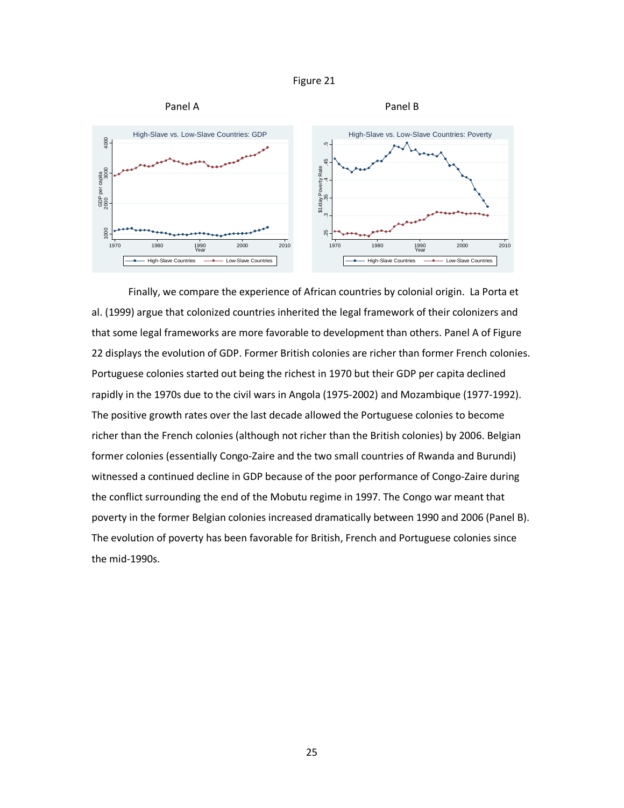



Finally, we compare the experience of African countries by colonial origin. La Porta et al. (1999) argue that colonized countries inherited the legal framework of their colonizers and that some legal frameworks are more favorable to development than others. Panel A of Figure 22 displays the evolution of GDP. Former British colonies are richer than former French colonies. Portuguese colonies started out being the richest in 1970 but their GDP per capita declined rapidly in the 1970s due to the civil wars in Angola (1975-2002) and Mozambique (1977-1992). The positive growth rates over the last decade allowed the Portuguese colonies to become richer than the French colonies (although not richer than the British colonies) by 2006. Belgian former colonies (essentially Congo-Zaire and the two small countries of Rwanda and Burundi) witnessed a continued decline in GDP because of the poor performance of Congo-Zaire during the conflict surrounding the end of the Mobutu regime in 1997. The Congo war meant that poverty in the former Belgian colonies increased dramatically between 1990 and 2006 (Panel B). The evolution of poverty has been favorable for British, French and Portuguese colonies since the mid-1990s.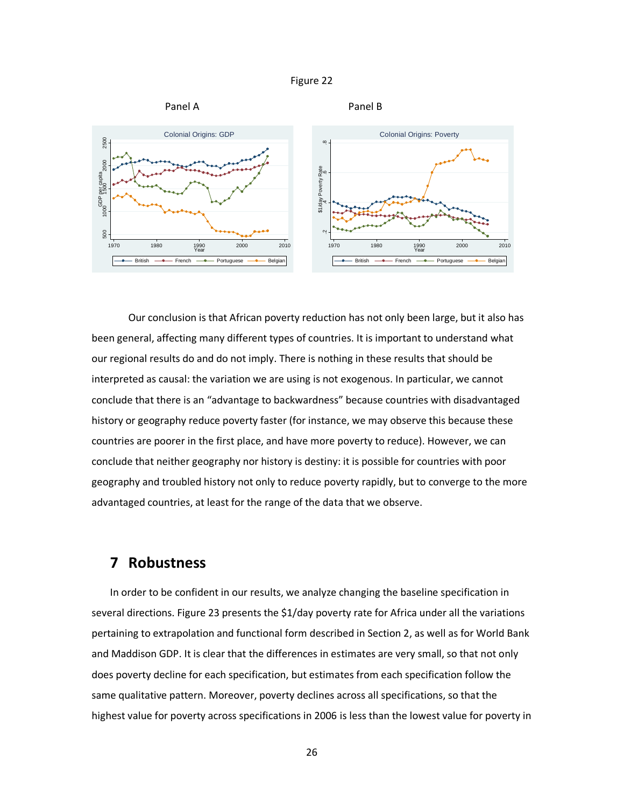



 Our conclusion is that African poverty reduction has not only been large, but it also has been general, affecting many different types of countries. It is important to understand what our regional results do and do not imply. There is nothing in these results that should be interpreted as causal: the variation we are using is not exogenous. In particular, we cannot conclude that there is an "advantage to backwardness" because countries with disadvantaged history or geography reduce poverty faster (for instance, we may observe this because these countries are poorer in the first place, and have more poverty to reduce). However, we can conclude that neither geography nor history is destiny: it is possible for countries with poor geography and troubled history not only to reduce poverty rapidly, but to converge to the more advantaged countries, at least for the range of the data that we observe.

### **7 Robustness**

In order to be confident in our results, we analyze changing the baseline specification in several directions. Figure 23 presents the \$1/day poverty rate for Africa under all the variations pertaining to extrapolation and functional form described in Section 2, as well as for World Bank and Maddison GDP. It is clear that the differences in estimates are very small, so that not only does poverty decline for each specification, but estimates from each specification follow the same qualitative pattern. Moreover, poverty declines across all specifications, so that the highest value for poverty across specifications in 2006 is less than the lowest value for poverty in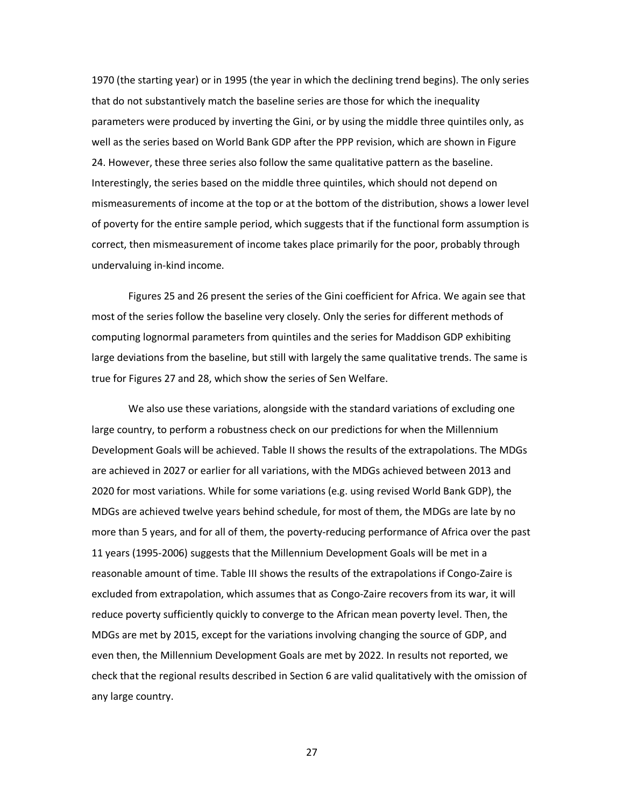1970 (the starting year) or in 1995 (the year in which the declining trend begins). The only series that do not substantively match the baseline series are those for which the inequality parameters were produced by inverting the Gini, or by using the middle three quintiles only, as well as the series based on World Bank GDP after the PPP revision, which are shown in Figure 24. However, these three series also follow the same qualitative pattern as the baseline. Interestingly, the series based on the middle three quintiles, which should not depend on mismeasurements of income at the top or at the bottom of the distribution, shows a lower level of poverty for the entire sample period, which suggests that if the functional form assumption is correct, then mismeasurement of income takes place primarily for the poor, probably through undervaluing in-kind income.

 Figures 25 and 26 present the series of the Gini coefficient for Africa. We again see that most of the series follow the baseline very closely. Only the series for different methods of computing lognormal parameters from quintiles and the series for Maddison GDP exhibiting large deviations from the baseline, but still with largely the same qualitative trends. The same is true for Figures 27 and 28, which show the series of Sen Welfare.

 We also use these variations, alongside with the standard variations of excluding one large country, to perform a robustness check on our predictions for when the Millennium Development Goals will be achieved. Table II shows the results of the extrapolations. The MDGs are achieved in 2027 or earlier for all variations, with the MDGs achieved between 2013 and 2020 for most variations. While for some variations (e.g. using revised World Bank GDP), the MDGs are achieved twelve years behind schedule, for most of them, the MDGs are late by no more than 5 years, and for all of them, the poverty-reducing performance of Africa over the past 11 years (1995-2006) suggests that the Millennium Development Goals will be met in a reasonable amount of time. Table III shows the results of the extrapolations if Congo-Zaire is excluded from extrapolation, which assumes that as Congo-Zaire recovers from its war, it will reduce poverty sufficiently quickly to converge to the African mean poverty level. Then, the MDGs are met by 2015, except for the variations involving changing the source of GDP, and even then, the Millennium Development Goals are met by 2022. In results not reported, we check that the regional results described in Section 6 are valid qualitatively with the omission of any large country.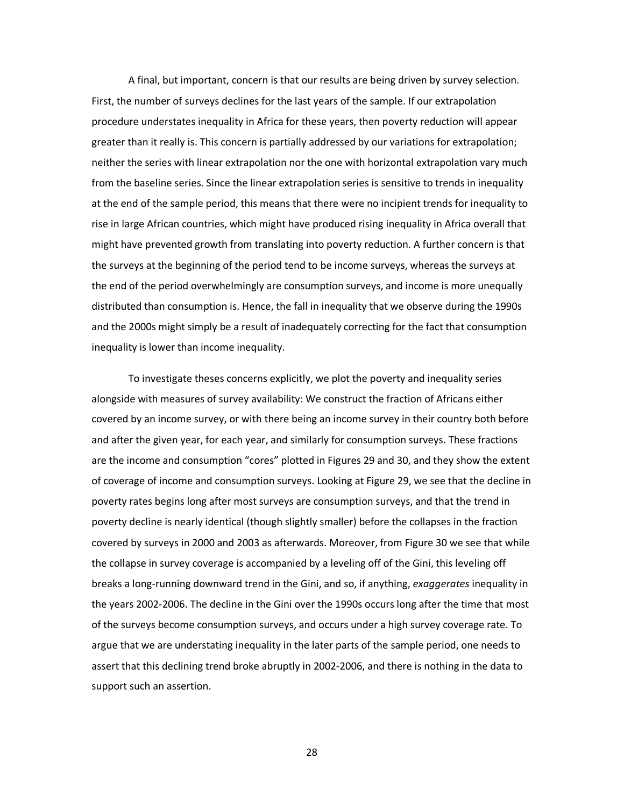A final, but important, concern is that our results are being driven by survey selection. First, the number of surveys declines for the last years of the sample. If our extrapolation procedure understates inequality in Africa for these years, then poverty reduction will appear greater than it really is. This concern is partially addressed by our variations for extrapolation; neither the series with linear extrapolation nor the one with horizontal extrapolation vary much from the baseline series. Since the linear extrapolation series is sensitive to trends in inequality at the end of the sample period, this means that there were no incipient trends for inequality to rise in large African countries, which might have produced rising inequality in Africa overall that might have prevented growth from translating into poverty reduction. A further concern is that the surveys at the beginning of the period tend to be income surveys, whereas the surveys at the end of the period overwhelmingly are consumption surveys, and income is more unequally distributed than consumption is. Hence, the fall in inequality that we observe during the 1990s and the 2000s might simply be a result of inadequately correcting for the fact that consumption inequality is lower than income inequality.

To investigate theses concerns explicitly, we plot the poverty and inequality series alongside with measures of survey availability: We construct the fraction of Africans either covered by an income survey, or with there being an income survey in their country both before and after the given year, for each year, and similarly for consumption surveys. These fractions are the income and consumption "cores" plotted in Figures 29 and 30, and they show the extent of coverage of income and consumption surveys. Looking at Figure 29, we see that the decline in poverty rates begins long after most surveys are consumption surveys, and that the trend in poverty decline is nearly identical (though slightly smaller) before the collapses in the fraction covered by surveys in 2000 and 2003 as afterwards. Moreover, from Figure 30 we see that while the collapse in survey coverage is accompanied by a leveling off of the Gini, this leveling off breaks a long-running downward trend in the Gini, and so, if anything, *exaggerates* inequality in the years 2002-2006. The decline in the Gini over the 1990s occurs long after the time that most of the surveys become consumption surveys, and occurs under a high survey coverage rate. To argue that we are understating inequality in the later parts of the sample period, one needs to assert that this declining trend broke abruptly in 2002-2006, and there is nothing in the data to support such an assertion.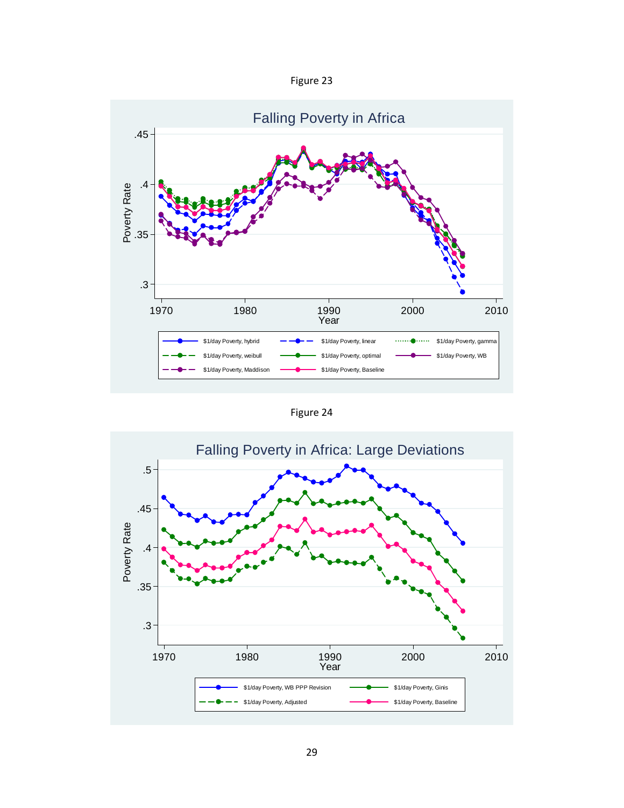| Figure |  |
|--------|--|
|--------|--|



Figure 24

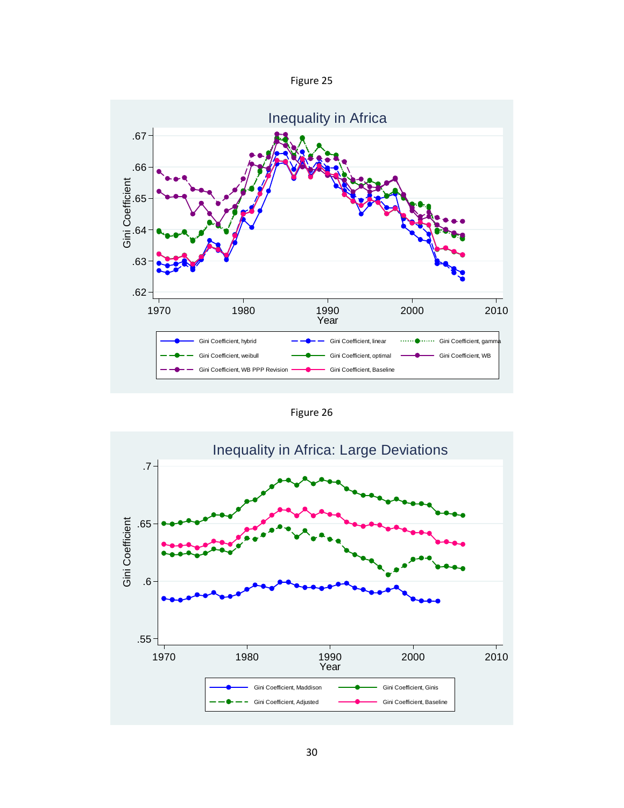



Figure 26

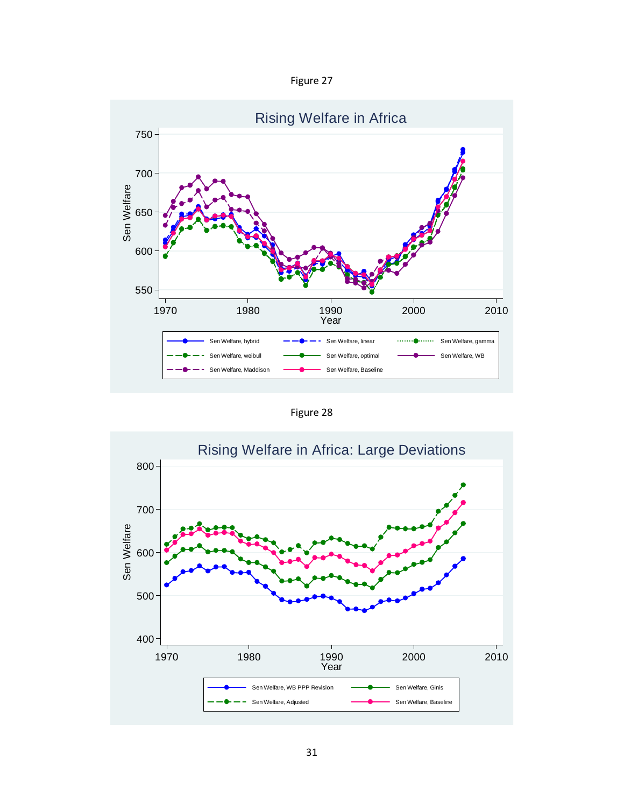Figure 27



Figure 28

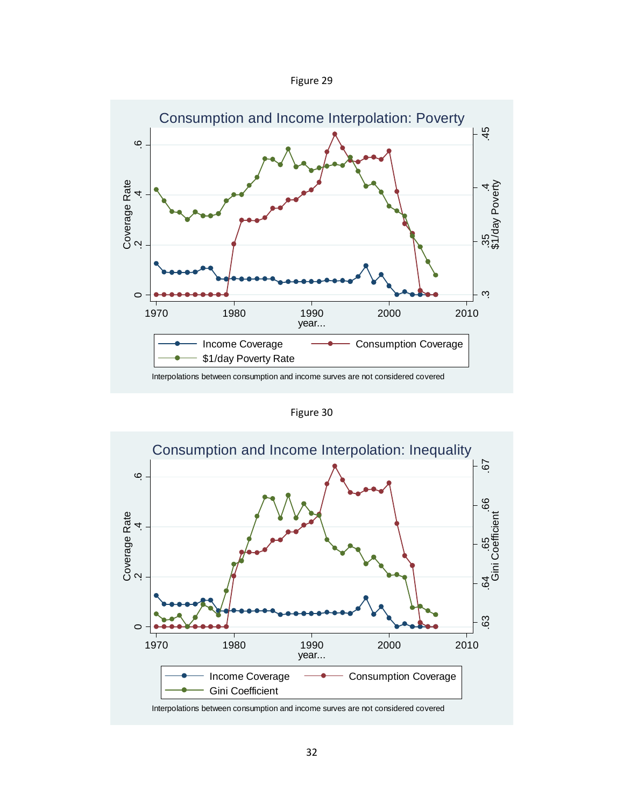| Figure |  |
|--------|--|
|--------|--|



Figure 30

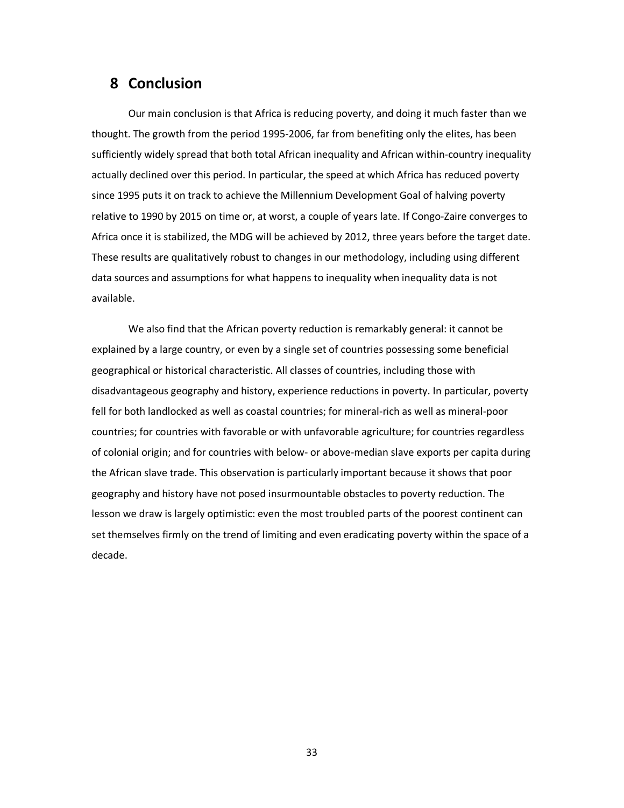## **8 Conclusion**

Our main conclusion is that Africa is reducing poverty, and doing it much faster than we thought. The growth from the period 1995-2006, far from benefiting only the elites, has been sufficiently widely spread that both total African inequality and African within-country inequality actually declined over this period. In particular, the speed at which Africa has reduced poverty since 1995 puts it on track to achieve the Millennium Development Goal of halving poverty relative to 1990 by 2015 on time or, at worst, a couple of years late. If Congo-Zaire converges to Africa once it is stabilized, the MDG will be achieved by 2012, three years before the target date. These results are qualitatively robust to changes in our methodology, including using different data sources and assumptions for what happens to inequality when inequality data is not available.

We also find that the African poverty reduction is remarkably general: it cannot be explained by a large country, or even by a single set of countries possessing some beneficial geographical or historical characteristic. All classes of countries, including those with disadvantageous geography and history, experience reductions in poverty. In particular, poverty fell for both landlocked as well as coastal countries; for mineral-rich as well as mineral-poor countries; for countries with favorable or with unfavorable agriculture; for countries regardless of colonial origin; and for countries with below- or above-median slave exports per capita during the African slave trade. This observation is particularly important because it shows that poor geography and history have not posed insurmountable obstacles to poverty reduction. The lesson we draw is largely optimistic: even the most troubled parts of the poorest continent can set themselves firmly on the trend of limiting and even eradicating poverty within the space of a decade.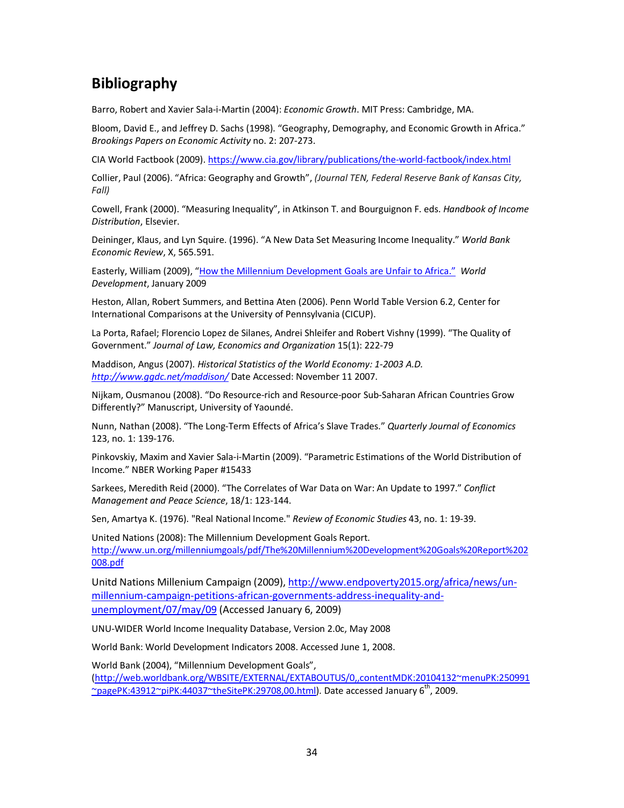# **Bibliography**

Barro, Robert and Xavier Sala-i-Martin (2004): *Economic Growth*. MIT Press: Cambridge, MA.

Bloom, David E., and Jeffrey D. Sachs (1998). "Geography, Demography, and Economic Growth in Africa." *Brookings Papers on Economic Activity* no. 2: 207-273.

CIA World Factbook (2009). https://www.cia.gov/library/publications/the-world-factbook/index.html

Collier, Paul (2006). "Africa: Geography and Growth", *(Journal TEN, Federal Reserve Bank of Kansas City, Fall)*

Cowell, Frank (2000). "Measuring Inequality", in Atkinson T. and Bourguignon F. eds. *Handbook of Income Distribution*, Elsevier.

Deininger, Klaus, and Lyn Squire. (1996). "A New Data Set Measuring Income Inequality." *World Bank Economic Review*, X, 565.591.

Easterly, William (2009), "How the Millennium Development Goals are Unfair to Africa." *World Development*, January 2009

Heston, Allan, Robert Summers, and Bettina Aten (2006). Penn World Table Version 6.2, Center for International Comparisons at the University of Pennsylvania (CICUP).

La Porta, Rafael; Florencio Lopez de Silanes, Andrei Shleifer and Robert Vishny (1999). "The Quality of Government." *Journal of Law, Economics and Organization* 15(1): 222-79

Maddison, Angus (2007). *Historical Statistics of the World Economy: 1-2003 A.D. http://www.ggdc.net/maddison/* Date Accessed: November 11 2007.

Nijkam, Ousmanou (2008). "Do Resource-rich and Resource-poor Sub-Saharan African Countries Grow Differently?" Manuscript, University of Yaoundé.

Nunn, Nathan (2008). "The Long-Term Effects of Africa's Slave Trades." *Quarterly Journal of Economics* 123, no. 1: 139-176.

Pinkovskiy, Maxim and Xavier Sala-i-Martin (2009). "Parametric Estimations of the World Distribution of Income." NBER Working Paper #15433

Sarkees, Meredith Reid (2000). "The Correlates of War Data on War: An Update to 1997." *Conflict Management and Peace Science*, 18/1: 123-144.

Sen, Amartya K. (1976). "Real National Income." *Review of Economic Studies* 43, no. 1: 19-39.

United Nations (2008): The Millennium Development Goals Report. http://www.un.org/millenniumgoals/pdf/The%20Millennium%20Development%20Goals%20Report%202 008.pdf

Unitd Nations Millenium Campaign (2009), http://www.endpoverty2015.org/africa/news/unmillennium-campaign-petitions-african-governments-address-inequality-andunemployment/07/may/09 (Accessed January 6, 2009)

UNU-WIDER World Income Inequality Database, Version 2.0c, May 2008

World Bank: World Development Indicators 2008. Accessed June 1, 2008.

World Bank (2004), "Millennium Development Goals",

(http://web.worldbank.org/WBSITE/EXTERNAL/EXTABOUTUS/0,,contentMDK:20104132~menuPK:250991  $\sim$ pagePK:43912 $\sim$ piPK:44037 $\sim$ theSitePK:29708,00.html). Date accessed January 6<sup>th</sup>, 2009.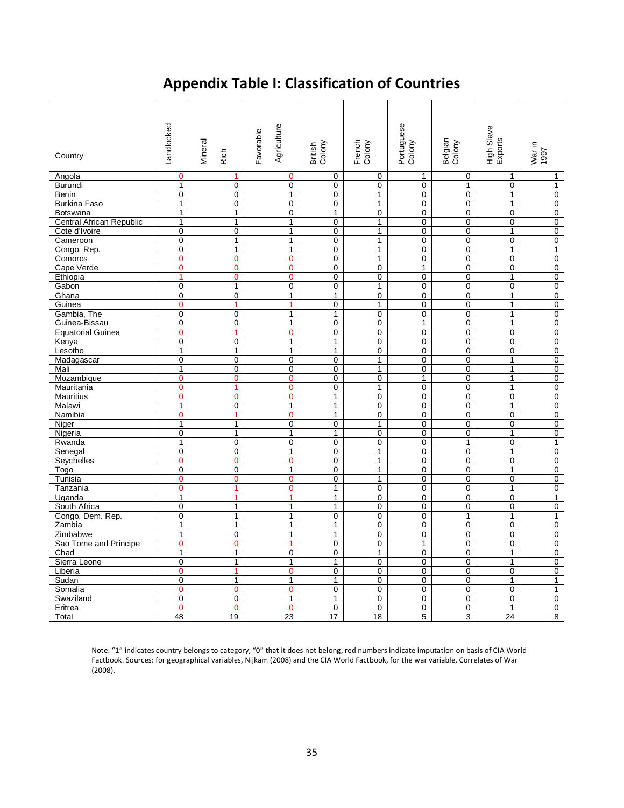# **Appendix Table I: Classification of Countries**

| Country                  | andlocked      | Mineral<br>Rich | Agriculture<br>Favorable | British<br>Colony | French<br>Colony | Portuguese<br>Colony | Belgian<br>Colony | High Slave<br>Exports | War in<br>1997 |
|--------------------------|----------------|-----------------|--------------------------|-------------------|------------------|----------------------|-------------------|-----------------------|----------------|
| Angola                   | $\mathbf 0$    | $\mathbf{1}$    | $\mathbf 0$              | $\mathbf 0$       | 0                | 1                    | 0                 | $\mathbf{1}$          | $\mathbf{1}$   |
| Burundi                  | $\mathbf{1}$   | $\mathbf 0$     | $\mathbf 0$              | $\mathbf 0$       | 0                | $\mathbf 0$          | $\mathbf{1}$      | $\mathbf 0$           | 1              |
| Benin                    | $\mathbf 0$    | $\mathbf 0$     | $\mathbf{1}$             | 0                 | $\mathbf{1}$     | $\mathbf 0$          | 0                 | $\mathbf{1}$          | 0              |
| <b>Burkina Faso</b>      | $\mathbf{1}$   | $\mathbf 0$     | $\mathbf 0$              | 0                 | $\mathbf{1}$     | 0                    | 0                 | $\mathbf{1}$          | 0              |
| <b>Botswana</b>          | $\mathbf{1}$   | $\mathbf{1}$    | $\mathbf{0}$             | $\mathbf{1}$      | $\mathbf{0}$     | 0                    | $\overline{0}$    | $\mathbf 0$           | $\mathbf{0}$   |
| Central African Republic | $\mathbf{1}$   | $\mathbf{1}$    | $\mathbf{1}$             | $\mathbf 0$       | $\mathbf{1}$     | $\mathbf 0$          | $\mathbf 0$       | $\mathbf 0$           | $\mathbf 0$    |
| Cote d'Ivoire            | $\mathbf 0$    | $\mathbf 0$     | $\mathbf{1}$             | $\mathbf 0$       | $\mathbf{1}$     | $\mathbf 0$          | $\mathbf 0$       | $\mathbf{1}$          | $\mathbf 0$    |
| Cameroon                 | $\Omega$       | $\mathbf{1}$    | $\mathbf{1}$             | $\Omega$          | $\mathbf{1}$     | $\Omega$             | $\Omega$          | $\Omega$              | $\mathbf 0$    |
| Congo, Rep.              | $\mathbf 0$    | $\mathbf{1}$    | $\mathbf{1}$             | 0                 | $\mathbf{1}$     | 0                    | 0                 | $\mathbf{1}$          | 1              |
| Comoros                  | $\mathbf 0$    | $\mathbf 0$     | $\mathbf 0$              | 0                 | $\mathbf{1}$     | 0                    | 0                 | $\mathbf 0$           | 0              |
| Cape Verde               | $\mathbf{0}$   | $\overline{0}$  | $\overline{0}$           | 0                 | 0                | $\mathbf{1}$         | 0                 | $\mathbf 0$           | $\pmb{0}$      |
| Ethiopia                 | 1              | $\mathbf{0}$    | $\mathbf{O}$             | $\mathbf 0$       | 0                | $\mathbf 0$          | 0                 | $\mathbf{1}$          | 0              |
| Gabon                    | $\mathbf 0$    | $\mathbf{1}$    | $\mathbf 0$              | $\mathbf 0$       | $\mathbf{1}$     | $\mathbf 0$          | 0                 | $\mathbf 0$           | $\pmb{0}$      |
| Ghana                    | $\mathbf 0$    | $\mathbf 0$     | $\mathbf{1}$             | 1                 | $\mathbf{0}$     | 0                    | 0                 | $\mathbf{1}$          | 0              |
| Guinea                   | $\overline{0}$ | 1               | $\mathbf{1}$             | $\mathbf 0$       | $\mathbf{1}$     | $\mathbf 0$          | 0                 | $\mathbf{1}$          | $\mathbf 0$    |
| Gambia, The              | $\mathbf 0$    | $\mathbf 0$     | $\mathbf{1}$             | 1                 | 0                | $\mathbf 0$          | 0                 | $\mathbf{1}$          | $\mathbf 0$    |
| Guinea-Bissau            | 0              | 0               | $\mathbf{1}$             | $\pmb{0}$         | 0                | $\mathbf{1}$         | 0                 | $\mathbf{1}$          | $\pmb{0}$      |
| <b>Equatorial Guinea</b> | $\Omega$       | $\mathbf{1}$    | $\mathbf 0$              | $\Omega$          | $\overline{0}$   | $\overline{0}$       | 0                 | $\overline{0}$        | $\mathsf{O}$   |
| Kenya                    | 0              | 0               | $\mathbf{1}$             | $\mathbf{1}$      | 0                | 0                    | 0                 | 0                     | 0              |
| Lesotho                  | 1              | 1               | 1                        | 1                 | 0                | 0                    | $\mathbf 0$       | 0                     | 0              |
| Madagascar               | $\mathbf 0$    | $\mathbf 0$     | $\mathbf 0$              | $\mathbf 0$       | $\mathbf{1}$     | $\mathbf 0$          | $\mathbf 0$       | $\mathbf{1}$          | 0              |
| Mali                     | $\mathbf{1}$   | $\mathbf 0$     | $\mathbf 0$              | $\mathbf 0$       | $\mathbf{1}$     | 0                    | 0                 | $\mathbf{1}$          | 0              |
| Mozambique               | $\mathbf{0}$   | $\mathbf{0}$    | $\mathbf{0}$             | 0                 | $\mathbf{0}$     | $\mathbf{1}$         | 0                 | $\mathbf{1}$          | 0              |
| Mauritania               | $\mathbf{0}$   | $\mathbf{1}$    | $\mathbf 0$              | $\mathbf 0$       | $\mathbf{1}$     | 0                    | $\mathbf 0$       | $\mathbf{1}$          | $\mathbf 0$    |
| <b>Mauritius</b>         | $\mathbf{0}$   | $\overline{0}$  | $\mathbf{O}$             | $\mathbf{1}$      | 0                | $\mathbf 0$          | 0                 | $\mathbf 0$           | $\mathbf 0$    |
| Malawi                   | $\mathbf{1}$   | $\Omega$        | $\mathbf{1}$             | $\mathbf{1}$      | $\Omega$         | 0                    | 0                 | $\mathbf{1}$          | 0              |
| Namibia                  | $\mathbf 0$    | 1               | $\mathbf 0$              | 1                 | $\overline{0}$   | 0                    | 0                 | $\mathbf 0$           | 0              |
| Niger                    | $\overline{1}$ | $\overline{1}$  | 0                        | $\mathbf{0}$      | $\mathbf{1}$     | 0                    | 0                 | 0                     | 0              |
| Nigeria                  | $\mathbf 0$    | $\mathbf{1}$    | $\mathbf{1}$             | $\mathbf{1}$      | $\overline{0}$   | 0                    | $\mathbf 0$       | $\mathbf{1}$          | 0              |
| Rwanda                   | $\mathbf{1}$   | $\mathbf 0$     | $\mathbf 0$              | $\mathbf 0$       | 0                | $\mathbf 0$          | $\mathbf{1}$      | $\mathbf 0$           | 1              |
| Senegal                  | $\mathbf 0$    | $\mathbf 0$     | $\mathbf{1}$             | $\mathbf 0$       | $\mathbf{1}$     | 0                    | 0                 | $\mathbf{1}$          | $\mathbf 0$    |
| Seychelles               | $\mathbf{0}$   | $\mathbf{0}$    | $\mathbf{0}$             | $\mathbf 0$       | $\mathbf{1}$     | $\mathbf 0$          | $\mathbf 0$       | $\mathbf 0$           | 0              |
| Togo                     | $\mathbf 0$    | $\mathbf 0$     | $\mathbf{1}$             | $\mathbf 0$       | $\mathbf{1}$     | $\mathbf 0$          | $\mathbf 0$       | 1                     | $\mathbf 0$    |
| Tunisia                  | $\mathbf{0}$   | $\mathbf{O}$    | $\overline{0}$           | $\mathbf 0$       | $\mathbf{1}$     | 0                    | 0                 | $\mathbf 0$           | $\mathbf 0$    |
| Tanzania                 | $\mathbf 0$    | 1               | $\mathbf 0$              | 1                 | 0                | 0                    | 0                 | $\mathbf{1}$          | 0              |
| Uganda                   | $\overline{1}$ | $\overline{1}$  | $\mathbf{1}$             | $\mathbf{1}$      | $\overline{0}$   | 0                    | $\mathbf{0}$      | $\mathbf 0$           | $\mathbf{1}$   |
| South Africa             | $\mathbf 0$    | $\mathbf{1}$    | $\overline{1}$           | 1                 | 0                | 0                    | 0                 | 0                     | $\overline{0}$ |
| Congo, Dem. Rep.         | 0              | $\mathbf{1}$    | $\mathbf{1}$             | $\mathbf 0$       | 0                | $\mathbf 0$          | $\mathbf{1}$      | $\mathbf{1}$          | 1              |
| Zambia                   | $\mathbf{1}$   | $\mathbf{1}$    | $\mathbf{1}$             | $\mathbf{1}$      | 0                | $\mathbf 0$          | 0                 | $\mathbf 0$           | $\mathbf 0$    |
| Zimbabwe                 | $\mathbf{1}$   | $\mathbf 0$     | $\mathbf{1}$             | 1                 | 0                | $\mathbf 0$          | 0                 | $\mathbf 0$           | $\pmb{0}$      |
| Sao Tome and Principe    | $\mathbf{0}$   | $\overline{0}$  | $\mathbf{1}$             | $\mathbf{0}$      | 0                | $\mathbf{1}$         | $\overline{0}$    | $\mathbf 0$           | $\mathbf{0}$   |
| Chad                     | $\mathbf{1}$   | $\mathbf{1}$    | $\mathbf 0$              | $\mathbf 0$       | $\mathbf{1}$     | 0                    | 0                 | $\mathbf{1}$          | $\mathbf 0$    |
| Sierra Leone             | 0              | $\mathbf{1}$    | $\mathbf{1}$             | 1                 | 0                | 0                    | 0                 | $\mathbf{1}$          | 0              |
| Liberia                  | $\Omega$       | $\overline{1}$  | $\mathbf 0$              | $\Omega$          | 0                | $\Omega$             | $\Omega$          | $\Omega$              | $\mathbf 0$    |
| Sudan                    | $\mathbf 0$    | $\mathbf{1}$    | $\mathbf{1}$             | $\mathbf{1}$      | $\overline{0}$   | 0                    | 0                 | $\mathbf{1}$          | 1              |
| Somalia                  | $\mathbf 0$    | $\mathbf 0$     | $\mathbf 0$              | 0                 | 0                | 0                    | 0                 | 0                     | 1              |
| Swaziland                | $\mathbf 0$    | $\mathbf 0$     | $\mathbf{1}$             | 1                 | 0                | 0                    | 0                 | $\mathbf 0$           | 0              |
| Eritrea                  | $\mathbf{0}$   | $\mathbf{0}$    | $\mathbf 0$              | $\mathbf 0$       | 0                | $\mathbf 0$          | 0                 | $\mathbf{1}$          | 0              |
| Total                    | 48             | 19              | 23                       | 17                | 18               | 5                    | 3                 | 24                    | 8              |

Note: "1" indicates country belongs to category, "0" that it does not belong, red numbers indicate imputation on basis of CIA World Factbook. Sources: for geographical variables, Nijkam (2008) and the CIA World Factbook, for the war variable, Correlates of War (2008).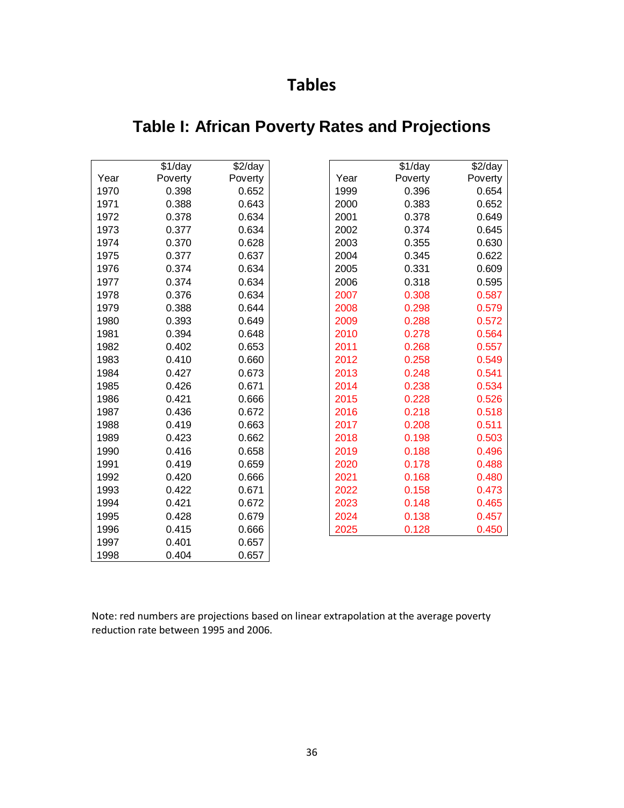# **Tables**

|      | \$1/day | \$2/day |      | \$1/day | \$2/day |
|------|---------|---------|------|---------|---------|
| Year | Poverty | Poverty | Year | Poverty | Poverty |
| 1970 | 0.398   | 0.652   | 1999 | 0.396   | 0.654   |
| 1971 | 0.388   | 0.643   | 2000 | 0.383   | 0.652   |
| 1972 | 0.378   | 0.634   | 2001 | 0.378   | 0.649   |
| 1973 | 0.377   | 0.634   | 2002 | 0.374   | 0.645   |
| 1974 | 0.370   | 0.628   | 2003 | 0.355   | 0.630   |
| 1975 | 0.377   | 0.637   | 2004 | 0.345   | 0.622   |
| 1976 | 0.374   | 0.634   | 2005 | 0.331   | 0.609   |
| 1977 | 0.374   | 0.634   | 2006 | 0.318   | 0.595   |
| 1978 | 0.376   | 0.634   | 2007 | 0.308   | 0.587   |
| 1979 | 0.388   | 0.644   | 2008 | 0.298   | 0.579   |
| 1980 | 0.393   | 0.649   | 2009 | 0.288   | 0.572   |
| 1981 | 0.394   | 0.648   | 2010 | 0.278   | 0.564   |
| 1982 | 0.402   | 0.653   | 2011 | 0.268   | 0.557   |
| 1983 | 0.410   | 0.660   | 2012 | 0.258   | 0.549   |
| 1984 | 0.427   | 0.673   | 2013 | 0.248   | 0.541   |
| 1985 | 0.426   | 0.671   | 2014 | 0.238   | 0.534   |
| 1986 | 0.421   | 0.666   | 2015 | 0.228   | 0.526   |
| 1987 | 0.436   | 0.672   | 2016 | 0.218   | 0.518   |
| 1988 | 0.419   | 0.663   | 2017 | 0.208   | 0.511   |
| 1989 | 0.423   | 0.662   | 2018 | 0.198   | 0.503   |
| 1990 | 0.416   | 0.658   | 2019 | 0.188   | 0.496   |
| 1991 | 0.419   | 0.659   | 2020 | 0.178   | 0.488   |
| 1992 | 0.420   | 0.666   | 2021 | 0.168   | 0.480   |
| 1993 | 0.422   | 0.671   | 2022 | 0.158   | 0.473   |
| 1994 | 0.421   | 0.672   | 2023 | 0.148   | 0.465   |
| 1995 | 0.428   | 0.679   | 2024 | 0.138   | 0.457   |
| 1996 | 0.415   | 0.666   | 2025 | 0.128   | 0.450   |
| 1997 | 0.401   | 0.657   |      |         |         |
| 1998 | 0.404   | 0.657   |      |         |         |

# **Table I: African Poverty Rates and Projections**

Note: red numbers are projections based on linear extrapolation at the average poverty reduction rate between 1995 and 2006.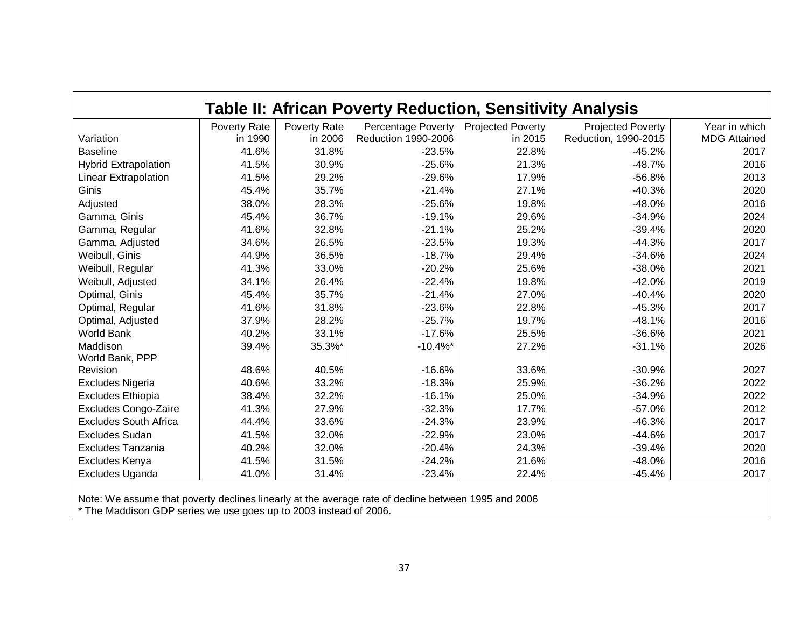| <b>Table II: African Poverty Reduction, Sensitivity Analysis</b>                                    |              |              |                     |                          |                          |                     |  |
|-----------------------------------------------------------------------------------------------------|--------------|--------------|---------------------|--------------------------|--------------------------|---------------------|--|
|                                                                                                     | Poverty Rate | Poverty Rate | Percentage Poverty  | <b>Projected Poverty</b> | <b>Projected Poverty</b> | Year in which       |  |
| Variation                                                                                           | in 1990      | in 2006      | Reduction 1990-2006 | in 2015                  | Reduction, 1990-2015     | <b>MDG Attained</b> |  |
| <b>Baseline</b>                                                                                     | 41.6%        | 31.8%        | $-23.5%$            | 22.8%                    | $-45.2%$                 | 2017                |  |
| <b>Hybrid Extrapolation</b>                                                                         | 41.5%        | 30.9%        | $-25.6%$            | 21.3%                    | $-48.7%$                 | 2016                |  |
| Linear Extrapolation                                                                                | 41.5%        | 29.2%        | $-29.6%$            | 17.9%                    | $-56.8%$                 | 2013                |  |
| Ginis                                                                                               | 45.4%        | 35.7%        | $-21.4%$            | 27.1%                    | $-40.3%$                 | 2020                |  |
| Adjusted                                                                                            | 38.0%        | 28.3%        | $-25.6%$            | 19.8%                    | $-48.0%$                 | 2016                |  |
| Gamma, Ginis                                                                                        | 45.4%        | 36.7%        | $-19.1%$            | 29.6%                    | $-34.9%$                 | 2024                |  |
| Gamma, Regular                                                                                      | 41.6%        | 32.8%        | $-21.1%$            | 25.2%                    | $-39.4%$                 | 2020                |  |
| Gamma, Adjusted                                                                                     | 34.6%        | 26.5%        | $-23.5%$            | 19.3%                    | $-44.3%$                 | 2017                |  |
| Weibull, Ginis                                                                                      | 44.9%        | 36.5%        | $-18.7%$            | 29.4%                    | $-34.6%$                 | 2024                |  |
| Weibull, Regular                                                                                    | 41.3%        | 33.0%        | $-20.2%$            | 25.6%                    | $-38.0%$                 | 2021                |  |
| Weibull, Adjusted                                                                                   | 34.1%        | 26.4%        | $-22.4%$            | 19.8%                    | $-42.0%$                 | 2019                |  |
| Optimal, Ginis                                                                                      | 45.4%        | 35.7%        | $-21.4%$            | 27.0%                    | $-40.4%$                 | 2020                |  |
| Optimal, Regular                                                                                    | 41.6%        | 31.8%        | $-23.6%$            | 22.8%                    | $-45.3%$                 | 2017                |  |
| Optimal, Adjusted                                                                                   | 37.9%        | 28.2%        | $-25.7%$            | 19.7%                    | $-48.1%$                 | 2016                |  |
| <b>World Bank</b>                                                                                   | 40.2%        | 33.1%        | $-17.6%$            | 25.5%                    | $-36.6%$                 | 2021                |  |
| Maddison<br>World Bank, PPP                                                                         | 39.4%        | 35.3%*       | $-10.4\%$ *         | 27.2%                    | $-31.1%$                 | 2026                |  |
| Revision                                                                                            | 48.6%        | 40.5%        | $-16.6%$            | 33.6%                    | $-30.9%$                 | 2027                |  |
| Excludes Nigeria                                                                                    | 40.6%        | 33.2%        | $-18.3%$            | 25.9%                    | $-36.2%$                 | 2022                |  |
| <b>Excludes Ethiopia</b>                                                                            | 38.4%        | 32.2%        | $-16.1%$            | 25.0%                    | $-34.9%$                 | 2022                |  |
| Excludes Congo-Zaire                                                                                | 41.3%        | 27.9%        | $-32.3%$            | 17.7%                    | $-57.0%$                 | 2012                |  |
| <b>Excludes South Africa</b>                                                                        | 44.4%        | 33.6%        | $-24.3%$            | 23.9%                    | $-46.3%$                 | 2017                |  |
| <b>Excludes Sudan</b>                                                                               | 41.5%        | 32.0%        | $-22.9%$            | 23.0%                    | $-44.6%$                 | 2017                |  |
| Excludes Tanzania                                                                                   | 40.2%        | 32.0%        | $-20.4%$            | 24.3%                    | $-39.4%$                 | 2020                |  |
| Excludes Kenya                                                                                      | 41.5%        | 31.5%        | $-24.2%$            | 21.6%                    | $-48.0%$                 | 2016                |  |
| Excludes Uganda                                                                                     | 41.0%        | 31.4%        | $-23.4%$            | 22.4%                    | $-45.4%$                 | 2017                |  |
| Note: We accume that poverty declines linearly at the average rate of decline between 1005 and 2006 |              |              |                     |                          |                          |                     |  |

Note: We assume that poverty declines linearly at the average rate of decline between 1995 and 2006 \* The Maddison GDP series we use goes up to 2003 instead of 2006.